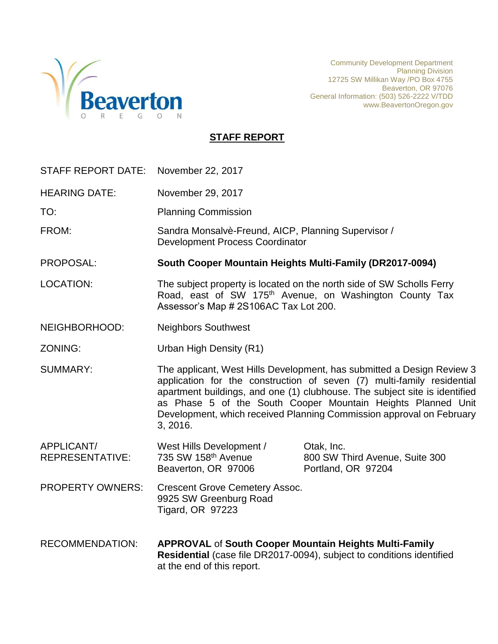

Community Development Department Planning Division 12725 SW Millikan Way /PO Box 4755 Beaverton, OR 97076 General Information: (503) 526-2222 V/TDD www.BeavertonOregon.gov

# **STAFF REPORT**

| <b>STAFF REPORT DATE:</b>     | November 22, 2017                                                                                                                                                                                                                                                                                                                                                                  |                                                                       |  |
|-------------------------------|------------------------------------------------------------------------------------------------------------------------------------------------------------------------------------------------------------------------------------------------------------------------------------------------------------------------------------------------------------------------------------|-----------------------------------------------------------------------|--|
| <b>HEARING DATE:</b>          | November 29, 2017                                                                                                                                                                                                                                                                                                                                                                  |                                                                       |  |
| TO:                           | <b>Planning Commission</b>                                                                                                                                                                                                                                                                                                                                                         |                                                                       |  |
| FROM:                         | Sandra Monsalvè-Freund, AICP, Planning Supervisor /<br><b>Development Process Coordinator</b>                                                                                                                                                                                                                                                                                      |                                                                       |  |
| PROPOSAL:                     | South Cooper Mountain Heights Multi-Family (DR2017-0094)                                                                                                                                                                                                                                                                                                                           |                                                                       |  |
| <b>LOCATION:</b>              | The subject property is located on the north side of SW Scholls Ferry<br>Road, east of SW 175 <sup>th</sup> Avenue, on Washington County Tax<br>Assessor's Map # 2S106AC Tax Lot 200.                                                                                                                                                                                              |                                                                       |  |
| NEIGHBORHOOD:                 | <b>Neighbors Southwest</b>                                                                                                                                                                                                                                                                                                                                                         |                                                                       |  |
| ZONING:                       | Urban High Density (R1)                                                                                                                                                                                                                                                                                                                                                            |                                                                       |  |
| <b>SUMMARY:</b>               | The applicant, West Hills Development, has submitted a Design Review 3<br>application for the construction of seven (7) multi-family residential<br>apartment buildings, and one (1) clubhouse. The subject site is identified<br>as Phase 5 of the South Cooper Mountain Heights Planned Unit<br>Development, which received Planning Commission approval on February<br>3, 2016. |                                                                       |  |
| APPLICANT/<br>REPRESENTATIVE: | West Hills Development /<br>735 SW 158th Avenue<br>Beaverton, OR 97006                                                                                                                                                                                                                                                                                                             | Otak, Inc.<br>800 SW Third Avenue, Suite 300<br>Portland, OR 97204    |  |
| <b>PROPERTY OWNERS:</b>       | <b>Crescent Grove Cemetery Assoc.</b><br>9925 SW Greenburg Road<br><b>Tigard, OR 97223</b>                                                                                                                                                                                                                                                                                         |                                                                       |  |
| <b>RECOMMENDATION:</b>        | <b>APPROVAL of South Cooper Mountain Heights Multi-Family</b><br>at the end of this report.                                                                                                                                                                                                                                                                                        | Residential (case file DR2017-0094), subject to conditions identified |  |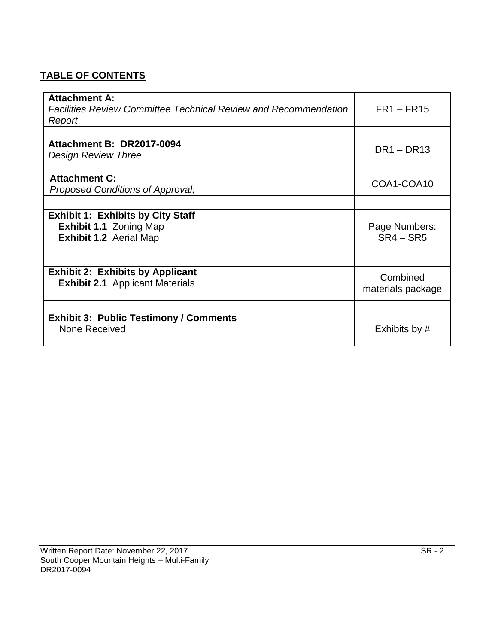# **TABLE OF CONTENTS**

| <b>Attachment A:</b>                                                   |                   |
|------------------------------------------------------------------------|-------------------|
| <b>Facilities Review Committee Technical Review and Recommendation</b> | $FR1 - FR15$      |
| Report                                                                 |                   |
|                                                                        |                   |
| Attachment B: DR2017-0094                                              | $DR1 - DR13$      |
| <b>Design Review Three</b>                                             |                   |
|                                                                        |                   |
| <b>Attachment C:</b>                                                   | COA1-COA10        |
| Proposed Conditions of Approval;                                       |                   |
|                                                                        |                   |
| <b>Exhibit 1: Exhibits by City Staff</b>                               |                   |
| <b>Exhibit 1.1 Zoning Map</b>                                          | Page Numbers:     |
| <b>Exhibit 1.2 Aerial Map</b>                                          | $SR4 - SR5$       |
|                                                                        |                   |
|                                                                        |                   |
| <b>Exhibit 2: Exhibits by Applicant</b>                                | Combined          |
| <b>Exhibit 2.1</b> Applicant Materials                                 | materials package |
|                                                                        |                   |
|                                                                        |                   |
| <b>Exhibit 3: Public Testimony / Comments</b>                          |                   |
| None Received                                                          | Exhibits by #     |
|                                                                        |                   |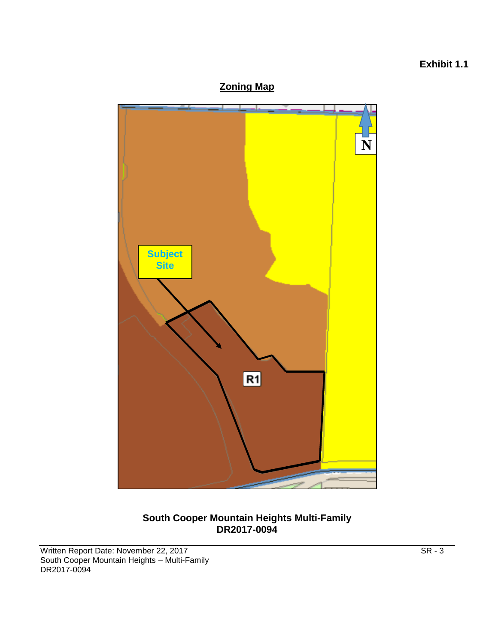# **Zoning Map N Subject Site** $R1$

# **South Cooper Mountain Heights Multi-Family DR2017-0094**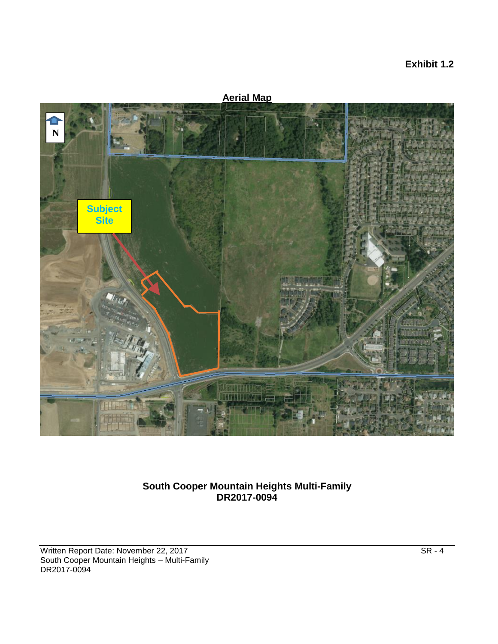# **Exhibit 1.2**

**Aerial Map Subject Site N**

# **South Cooper Mountain Heights Multi-Family DR2017-0094**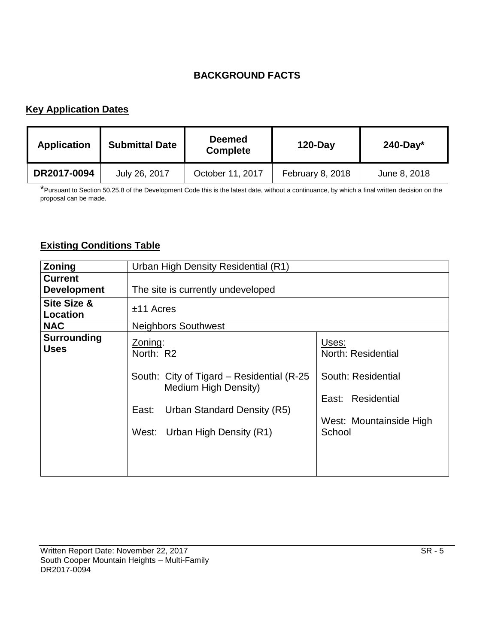# **BACKGROUND FACTS**

# **Key Application Dates**

| <b>Application</b> | <b>Submittal Date</b> | <b>Deemed</b><br><b>Complete</b> | $120$ -Day       | $240$ -Day*  |
|--------------------|-----------------------|----------------------------------|------------------|--------------|
| DR2017-0094        | July 26, 2017         | October 11, 2017                 | February 8, 2018 | June 8, 2018 |

\*Pursuant to Section 50.25.8 of the Development Code this is the latest date, without a continuance, by which a final written decision on the proposal can be made.

# **Existing Conditions Table**

| Zoning                               | Urban High Density Residential (R1)                                                                                                                                    |                                                                                                             |  |
|--------------------------------------|------------------------------------------------------------------------------------------------------------------------------------------------------------------------|-------------------------------------------------------------------------------------------------------------|--|
| <b>Current</b><br><b>Development</b> | The site is currently undeveloped                                                                                                                                      |                                                                                                             |  |
| Site Size &<br><b>Location</b>       | $±11$ Acres                                                                                                                                                            |                                                                                                             |  |
| <b>NAC</b>                           | <b>Neighbors Southwest</b>                                                                                                                                             |                                                                                                             |  |
| <b>Surrounding</b><br><b>Uses</b>    | Zoning:<br>North: R2<br>South: City of Tigard – Residential (R-25)<br>Medium High Density)<br>Urban Standard Density (R5)<br>East:<br>Urban High Density (R1)<br>West: | Uses:<br>North: Residential<br>South: Residential<br>East: Residential<br>West: Mountainside High<br>School |  |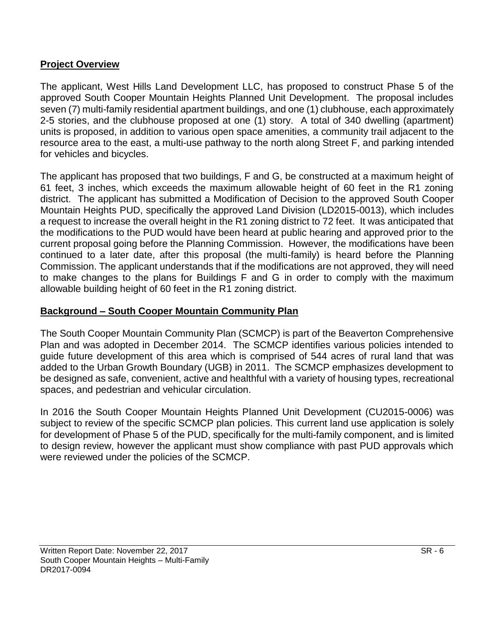# **Project Overview**

The applicant, West Hills Land Development LLC, has proposed to construct Phase 5 of the approved South Cooper Mountain Heights Planned Unit Development. The proposal includes seven (7) multi-family residential apartment buildings, and one (1) clubhouse, each approximately 2-5 stories, and the clubhouse proposed at one (1) story. A total of 340 dwelling (apartment) units is proposed, in addition to various open space amenities, a community trail adjacent to the resource area to the east, a multi-use pathway to the north along Street F, and parking intended for vehicles and bicycles.

The applicant has proposed that two buildings, F and G, be constructed at a maximum height of 61 feet, 3 inches, which exceeds the maximum allowable height of 60 feet in the R1 zoning district. The applicant has submitted a Modification of Decision to the approved South Cooper Mountain Heights PUD, specifically the approved Land Division (LD2015-0013), which includes a request to increase the overall height in the R1 zoning district to 72 feet. It was anticipated that the modifications to the PUD would have been heard at public hearing and approved prior to the current proposal going before the Planning Commission. However, the modifications have been continued to a later date, after this proposal (the multi-family) is heard before the Planning Commission. The applicant understands that if the modifications are not approved, they will need to make changes to the plans for Buildings F and G in order to comply with the maximum allowable building height of 60 feet in the R1 zoning district.

# **Background – South Cooper Mountain Community Plan**

The South Cooper Mountain Community Plan (SCMCP) is part of the Beaverton Comprehensive Plan and was adopted in December 2014. The SCMCP identifies various policies intended to guide future development of this area which is comprised of 544 acres of rural land that was added to the Urban Growth Boundary (UGB) in 2011. The SCMCP emphasizes development to be designed as safe, convenient, active and healthful with a variety of housing types, recreational spaces, and pedestrian and vehicular circulation.

In 2016 the South Cooper Mountain Heights Planned Unit Development (CU2015-0006) was subject to review of the specific SCMCP plan policies. This current land use application is solely for development of Phase 5 of the PUD, specifically for the multi-family component, and is limited to design review, however the applicant must show compliance with past PUD approvals which were reviewed under the policies of the SCMCP.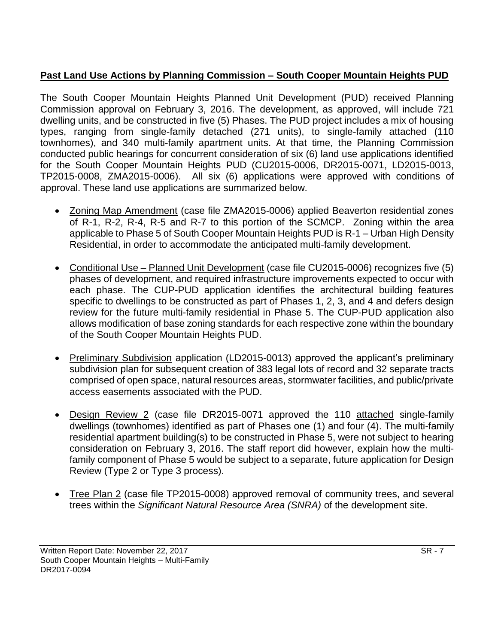# **Past Land Use Actions by Planning Commission – South Cooper Mountain Heights PUD**

The South Cooper Mountain Heights Planned Unit Development (PUD) received Planning Commission approval on February 3, 2016. The development, as approved, will include 721 dwelling units, and be constructed in five (5) Phases. The PUD project includes a mix of housing types, ranging from single-family detached (271 units), to single-family attached (110 townhomes), and 340 multi-family apartment units. At that time, the Planning Commission conducted public hearings for concurrent consideration of six (6) land use applications identified for the South Cooper Mountain Heights PUD (CU2015-0006, DR2015-0071, LD2015-0013, TP2015-0008, ZMA2015-0006). All six (6) applications were approved with conditions of approval. These land use applications are summarized below.

- Zoning Map Amendment (case file ZMA2015-0006) applied Beaverton residential zones of R-1, R-2, R-4, R-5 and R-7 to this portion of the SCMCP. Zoning within the area applicable to Phase 5 of South Cooper Mountain Heights PUD is R-1 – Urban High Density Residential, in order to accommodate the anticipated multi-family development.
- Conditional Use Planned Unit Development (case file CU2015-0006) recognizes five (5) phases of development, and required infrastructure improvements expected to occur with each phase. The CUP-PUD application identifies the architectural building features specific to dwellings to be constructed as part of Phases 1, 2, 3, and 4 and defers design review for the future multi-family residential in Phase 5. The CUP-PUD application also allows modification of base zoning standards for each respective zone within the boundary of the South Cooper Mountain Heights PUD.
- Preliminary Subdivision application (LD2015-0013) approved the applicant's preliminary subdivision plan for subsequent creation of 383 legal lots of record and 32 separate tracts comprised of open space, natural resources areas, stormwater facilities, and public/private access easements associated with the PUD.
- Design Review 2 (case file DR2015-0071 approved the 110 attached single-family dwellings (townhomes) identified as part of Phases one (1) and four (4). The multi-family residential apartment building(s) to be constructed in Phase 5, were not subject to hearing consideration on February 3, 2016. The staff report did however, explain how the multifamily component of Phase 5 would be subject to a separate, future application for Design Review (Type 2 or Type 3 process).
- Tree Plan 2 (case file TP2015-0008) approved removal of community trees, and several trees within the *Significant Natural Resource Area (SNRA)* of the development site.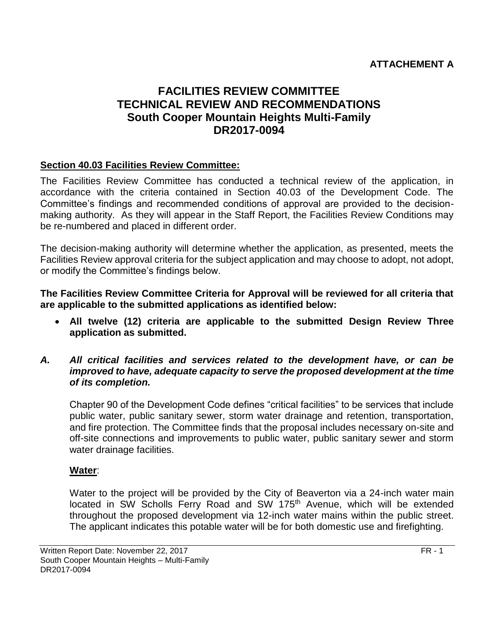# **ATTACHEMENT A**

# **FACILITIES REVIEW COMMITTEE TECHNICAL REVIEW AND RECOMMENDATIONS South Cooper Mountain Heights Multi-Family DR2017-0094**

# **Section 40.03 Facilities Review Committee:**

The Facilities Review Committee has conducted a technical review of the application, in accordance with the criteria contained in Section 40.03 of the Development Code. The Committee's findings and recommended conditions of approval are provided to the decisionmaking authority. As they will appear in the Staff Report, the Facilities Review Conditions may be re-numbered and placed in different order.

The decision-making authority will determine whether the application, as presented, meets the Facilities Review approval criteria for the subject application and may choose to adopt, not adopt, or modify the Committee's findings below.

**The Facilities Review Committee Criteria for Approval will be reviewed for all criteria that are applicable to the submitted applications as identified below:**

- **All twelve (12) criteria are applicable to the submitted Design Review Three application as submitted.**
- *A. All critical facilities and services related to the development have, or can be improved to have, adequate capacity to serve the proposed development at the time of its completion.*

Chapter 90 of the Development Code defines "critical facilities" to be services that include public water, public sanitary sewer, storm water drainage and retention, transportation, and fire protection. The Committee finds that the proposal includes necessary on-site and off-site connections and improvements to public water, public sanitary sewer and storm water drainage facilities.

# **Water**:

Water to the project will be provided by the City of Beaverton via a 24-inch water main located in SW Scholls Ferry Road and SW 175<sup>th</sup> Avenue, which will be extended throughout the proposed development via 12-inch water mains within the public street. The applicant indicates this potable water will be for both domestic use and firefighting.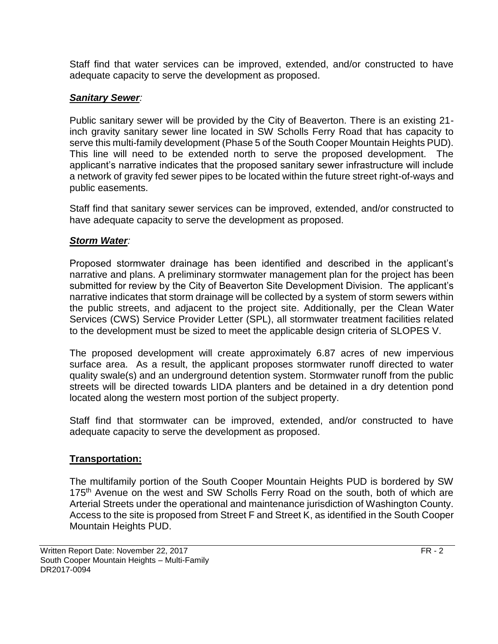Staff find that water services can be improved, extended, and/or constructed to have adequate capacity to serve the development as proposed.

# *Sanitary Sewer:*

Public sanitary sewer will be provided by the City of Beaverton. There is an existing 21 inch gravity sanitary sewer line located in SW Scholls Ferry Road that has capacity to serve this multi-family development (Phase 5 of the South Cooper Mountain Heights PUD). This line will need to be extended north to serve the proposed development. The applicant's narrative indicates that the proposed sanitary sewer infrastructure will include a network of gravity fed sewer pipes to be located within the future street right-of-ways and public easements.

Staff find that sanitary sewer services can be improved, extended, and/or constructed to have adequate capacity to serve the development as proposed.

# *Storm Water:*

Proposed stormwater drainage has been identified and described in the applicant's narrative and plans. A preliminary stormwater management plan for the project has been submitted for review by the City of Beaverton Site Development Division. The applicant's narrative indicates that storm drainage will be collected by a system of storm sewers within the public streets, and adjacent to the project site. Additionally, per the Clean Water Services (CWS) Service Provider Letter (SPL), all stormwater treatment facilities related to the development must be sized to meet the applicable design criteria of SLOPES V.

The proposed development will create approximately 6.87 acres of new impervious surface area. As a result, the applicant proposes stormwater runoff directed to water quality swale(s) and an underground detention system. Stormwater runoff from the public streets will be directed towards LIDA planters and be detained in a dry detention pond located along the western most portion of the subject property.

Staff find that stormwater can be improved, extended, and/or constructed to have adequate capacity to serve the development as proposed.

# **Transportation:**

The multifamily portion of the South Cooper Mountain Heights PUD is bordered by SW 175<sup>th</sup> Avenue on the west and SW Scholls Ferry Road on the south, both of which are Arterial Streets under the operational and maintenance jurisdiction of Washington County. Access to the site is proposed from Street F and Street K, as identified in the South Cooper Mountain Heights PUD.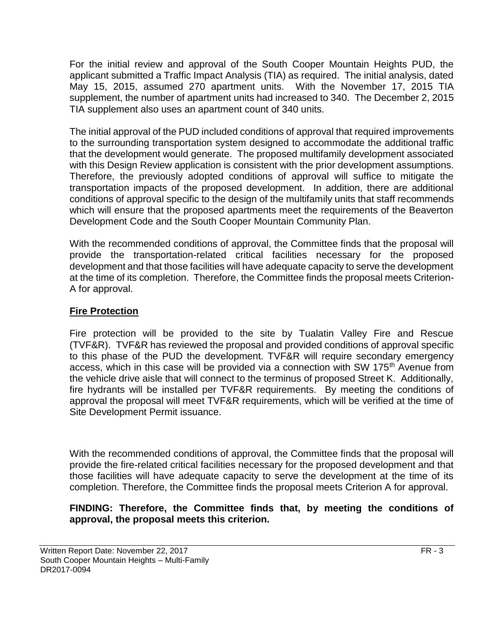For the initial review and approval of the South Cooper Mountain Heights PUD, the applicant submitted a Traffic Impact Analysis (TIA) as required. The initial analysis, dated May 15, 2015, assumed 270 apartment units. With the November 17, 2015 TIA supplement, the number of apartment units had increased to 340. The December 2, 2015 TIA supplement also uses an apartment count of 340 units.

The initial approval of the PUD included conditions of approval that required improvements to the surrounding transportation system designed to accommodate the additional traffic that the development would generate. The proposed multifamily development associated with this Design Review application is consistent with the prior development assumptions. Therefore, the previously adopted conditions of approval will suffice to mitigate the transportation impacts of the proposed development. In addition, there are additional conditions of approval specific to the design of the multifamily units that staff recommends which will ensure that the proposed apartments meet the requirements of the Beaverton Development Code and the South Cooper Mountain Community Plan.

With the recommended conditions of approval, the Committee finds that the proposal will provide the transportation-related critical facilities necessary for the proposed development and that those facilities will have adequate capacity to serve the development at the time of its completion. Therefore, the Committee finds the proposal meets Criterion-A for approval.

# **Fire Protection**

Fire protection will be provided to the site by Tualatin Valley Fire and Rescue (TVF&R). TVF&R has reviewed the proposal and provided conditions of approval specific to this phase of the PUD the development. TVF&R will require secondary emergency access, which in this case will be provided via a connection with SW 175<sup>th</sup> Avenue from the vehicle drive aisle that will connect to the terminus of proposed Street K. Additionally, fire hydrants will be installed per TVF&R requirements. By meeting the conditions of approval the proposal will meet TVF&R requirements, which will be verified at the time of Site Development Permit issuance.

With the recommended conditions of approval, the Committee finds that the proposal will provide the fire-related critical facilities necessary for the proposed development and that those facilities will have adequate capacity to serve the development at the time of its completion. Therefore, the Committee finds the proposal meets Criterion A for approval.

# **FINDING: Therefore, the Committee finds that, by meeting the conditions of approval, the proposal meets this criterion.**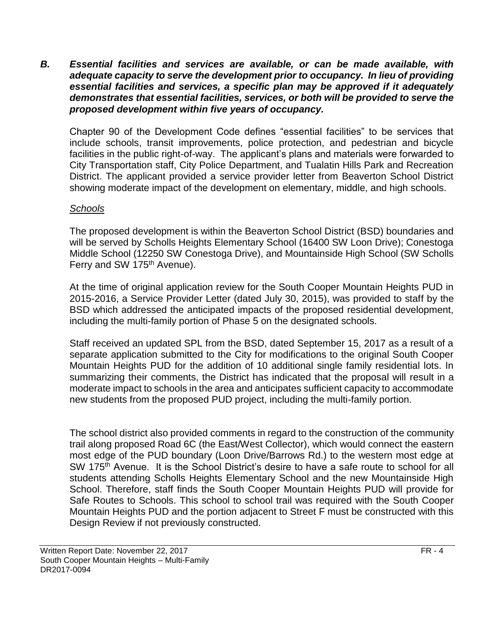*B. Essential facilities and services are available, or can be made available, with adequate capacity to serve the development prior to occupancy. In lieu of providing essential facilities and services, a specific plan may be approved if it adequately demonstrates that essential facilities, services, or both will be provided to serve the proposed development within five years of occupancy.*

Chapter 90 of the Development Code defines "essential facilities" to be services that include schools, transit improvements, police protection, and pedestrian and bicycle facilities in the public right-of-way. The applicant's plans and materials were forwarded to City Transportation staff, City Police Department, and Tualatin Hills Park and Recreation District. The applicant provided a service provider letter from Beaverton School District showing moderate impact of the development on elementary, middle, and high schools.

# *Schools*

The proposed development is within the Beaverton School District (BSD) boundaries and will be served by Scholls Heights Elementary School (16400 SW Loon Drive); Conestoga Middle School (12250 SW Conestoga Drive), and Mountainside High School (SW Scholls Ferry and SW 175<sup>th</sup> Avenue).

At the time of original application review for the South Cooper Mountain Heights PUD in 2015-2016, a Service Provider Letter (dated July 30, 2015), was provided to staff by the BSD which addressed the anticipated impacts of the proposed residential development, including the multi-family portion of Phase 5 on the designated schools.

Staff received an updated SPL from the BSD, dated September 15, 2017 as a result of a separate application submitted to the City for modifications to the original South Cooper Mountain Heights PUD for the addition of 10 additional single family residential lots. In summarizing their comments, the District has indicated that the proposal will result in a moderate impact to schools in the area and anticipates sufficient capacity to accommodate new students from the proposed PUD project, including the multi-family portion.

The school district also provided comments in regard to the construction of the community trail along proposed Road 6C (the East/West Collector), which would connect the eastern most edge of the PUD boundary (Loon Drive/Barrows Rd.) to the western most edge at SW 175<sup>th</sup> Avenue. It is the School District's desire to have a safe route to school for all students attending Scholls Heights Elementary School and the new Mountainside High School. Therefore, staff finds the South Cooper Mountain Heights PUD will provide for Safe Routes to Schools. This school to school trail was required with the South Cooper Mountain Heights PUD and the portion adjacent to Street F must be constructed with this Design Review if not previously constructed.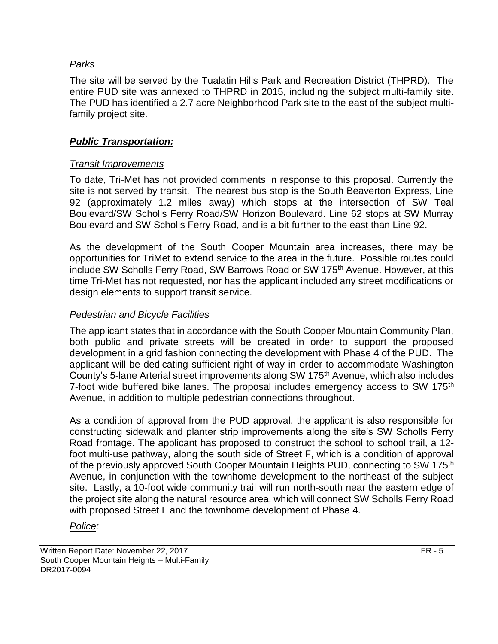# *Parks*

The site will be served by the Tualatin Hills Park and Recreation District (THPRD). The entire PUD site was annexed to THPRD in 2015, including the subject multi-family site. The PUD has identified a 2.7 acre Neighborhood Park site to the east of the subject multifamily project site.

# *Public Transportation:*

# *Transit Improvements*

To date, Tri-Met has not provided comments in response to this proposal. Currently the site is not served by transit. The nearest bus stop is the South Beaverton Express, Line 92 (approximately 1.2 miles away) which stops at the intersection of SW Teal Boulevard/SW Scholls Ferry Road/SW Horizon Boulevard. Line 62 stops at SW Murray Boulevard and SW Scholls Ferry Road, and is a bit further to the east than Line 92.

As the development of the South Cooper Mountain area increases, there may be opportunities for TriMet to extend service to the area in the future. Possible routes could include SW Scholls Ferry Road, SW Barrows Road or SW 175<sup>th</sup> Avenue. However, at this time Tri-Met has not requested, nor has the applicant included any street modifications or design elements to support transit service.

# *Pedestrian and Bicycle Facilities*

The applicant states that in accordance with the South Cooper Mountain Community Plan, both public and private streets will be created in order to support the proposed development in a grid fashion connecting the development with Phase 4 of the PUD. The applicant will be dedicating sufficient right-of-way in order to accommodate Washington County's 5-lane Arterial street improvements along SW 175<sup>th</sup> Avenue, which also includes 7-foot wide buffered bike lanes. The proposal includes emergency access to SW 175<sup>th</sup> Avenue, in addition to multiple pedestrian connections throughout.

As a condition of approval from the PUD approval, the applicant is also responsible for constructing sidewalk and planter strip improvements along the site's SW Scholls Ferry Road frontage. The applicant has proposed to construct the school to school trail, a 12 foot multi-use pathway, along the south side of Street F, which is a condition of approval of the previously approved South Cooper Mountain Heights PUD, connecting to SW 175<sup>th</sup> Avenue, in conjunction with the townhome development to the northeast of the subject site. Lastly, a 10-foot wide community trail will run north-south near the eastern edge of the project site along the natural resource area, which will connect SW Scholls Ferry Road with proposed Street L and the townhome development of Phase 4.

# *Police:*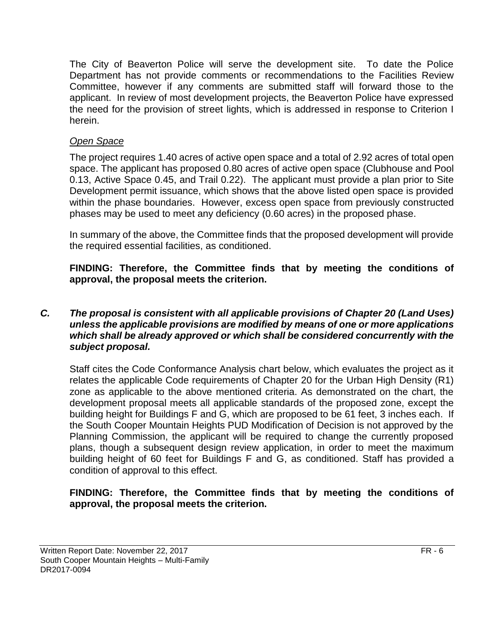The City of Beaverton Police will serve the development site. To date the Police Department has not provide comments or recommendations to the Facilities Review Committee, however if any comments are submitted staff will forward those to the applicant. In review of most development projects, the Beaverton Police have expressed the need for the provision of street lights, which is addressed in response to Criterion I herein.

# *Open Space*

The project requires 1.40 acres of active open space and a total of 2.92 acres of total open space. The applicant has proposed 0.80 acres of active open space (Clubhouse and Pool 0.13, Active Space 0.45, and Trail 0.22). The applicant must provide a plan prior to Site Development permit issuance, which shows that the above listed open space is provided within the phase boundaries. However, excess open space from previously constructed phases may be used to meet any deficiency (0.60 acres) in the proposed phase.

In summary of the above, the Committee finds that the proposed development will provide the required essential facilities, as conditioned.

**FINDING: Therefore, the Committee finds that by meeting the conditions of approval, the proposal meets the criterion.** 

# *C. The proposal is consistent with all applicable provisions of Chapter 20 (Land Uses) unless the applicable provisions are modified by means of one or more applications which shall be already approved or which shall be considered concurrently with the subject proposal.*

Staff cites the Code Conformance Analysis chart below, which evaluates the project as it relates the applicable Code requirements of Chapter 20 for the Urban High Density (R1) zone as applicable to the above mentioned criteria. As demonstrated on the chart, the development proposal meets all applicable standards of the proposed zone, except the building height for Buildings F and G, which are proposed to be 61 feet, 3 inches each. If the South Cooper Mountain Heights PUD Modification of Decision is not approved by the Planning Commission, the applicant will be required to change the currently proposed plans, though a subsequent design review application, in order to meet the maximum building height of 60 feet for Buildings F and G, as conditioned. Staff has provided a condition of approval to this effect.

# **FINDING: Therefore, the Committee finds that by meeting the conditions of approval, the proposal meets the criterion.**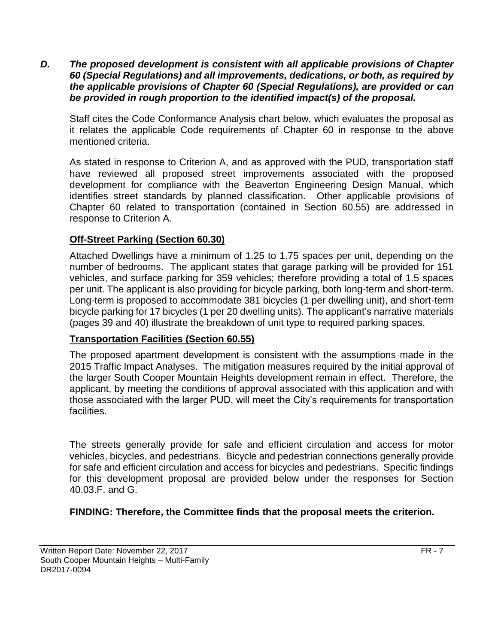*D. The proposed development is consistent with all applicable provisions of Chapter 60 (Special Regulations) and all improvements, dedications, or both, as required by the applicable provisions of Chapter 60 (Special Regulations), are provided or can be provided in rough proportion to the identified impact(s) of the proposal.*

Staff cites the Code Conformance Analysis chart below, which evaluates the proposal as it relates the applicable Code requirements of Chapter 60 in response to the above mentioned criteria.

As stated in response to Criterion A, and as approved with the PUD, transportation staff have reviewed all proposed street improvements associated with the proposed development for compliance with the Beaverton Engineering Design Manual, which identifies street standards by planned classification. Other applicable provisions of Chapter 60 related to transportation (contained in Section 60.55) are addressed in response to Criterion A.

# **Off-Street Parking (Section 60.30)**

Attached Dwellings have a minimum of 1.25 to 1.75 spaces per unit, depending on the number of bedrooms. The applicant states that garage parking will be provided for 151 vehicles, and surface parking for 359 vehicles; therefore providing a total of 1.5 spaces per unit. The applicant is also providing for bicycle parking, both long-term and short-term. Long-term is proposed to accommodate 381 bicycles (1 per dwelling unit), and short-term bicycle parking for 17 bicycles (1 per 20 dwelling units). The applicant's narrative materials (pages 39 and 40) illustrate the breakdown of unit type to required parking spaces.

# **Transportation Facilities (Section 60.55)**

The proposed apartment development is consistent with the assumptions made in the 2015 Traffic Impact Analyses. The mitigation measures required by the initial approval of the larger South Cooper Mountain Heights development remain in effect. Therefore, the applicant, by meeting the conditions of approval associated with this application and with those associated with the larger PUD, will meet the City's requirements for transportation facilities.

The streets generally provide for safe and efficient circulation and access for motor vehicles, bicycles, and pedestrians. Bicycle and pedestrian connections generally provide for safe and efficient circulation and access for bicycles and pedestrians. Specific findings for this development proposal are provided below under the responses for Section 40.03.F. and G.

**FINDING: Therefore, the Committee finds that the proposal meets the criterion.**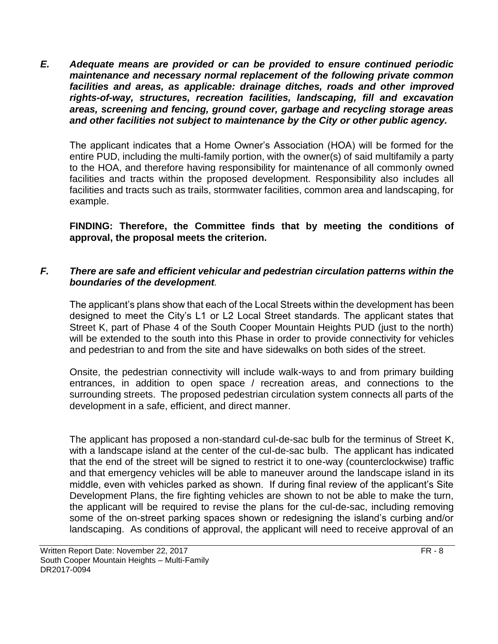*E. Adequate means are provided or can be provided to ensure continued periodic maintenance and necessary normal replacement of the following private common facilities and areas, as applicable: drainage ditches, roads and other improved rights-of-way, structures, recreation facilities, landscaping, fill and excavation areas, screening and fencing, ground cover, garbage and recycling storage areas and other facilities not subject to maintenance by the City or other public agency.*

The applicant indicates that a Home Owner's Association (HOA) will be formed for the entire PUD, including the multi-family portion, with the owner(s) of said multifamily a party to the HOA, and therefore having responsibility for maintenance of all commonly owned facilities and tracts within the proposed development. Responsibility also includes all facilities and tracts such as trails, stormwater facilities, common area and landscaping, for example.

**FINDING: Therefore, the Committee finds that by meeting the conditions of approval, the proposal meets the criterion.** 

# *F. There are safe and efficient vehicular and pedestrian circulation patterns within the boundaries of the development.*

The applicant's plans show that each of the Local Streets within the development has been designed to meet the City's L1 or L2 Local Street standards. The applicant states that Street K, part of Phase 4 of the South Cooper Mountain Heights PUD (just to the north) will be extended to the south into this Phase in order to provide connectivity for vehicles and pedestrian to and from the site and have sidewalks on both sides of the street.

Onsite, the pedestrian connectivity will include walk-ways to and from primary building entrances, in addition to open space / recreation areas, and connections to the surrounding streets. The proposed pedestrian circulation system connects all parts of the development in a safe, efficient, and direct manner.

The applicant has proposed a non-standard cul-de-sac bulb for the terminus of Street K, with a landscape island at the center of the cul-de-sac bulb. The applicant has indicated that the end of the street will be signed to restrict it to one-way (counterclockwise) traffic and that emergency vehicles will be able to maneuver around the landscape island in its middle, even with vehicles parked as shown. If during final review of the applicant's Site Development Plans, the fire fighting vehicles are shown to not be able to make the turn, the applicant will be required to revise the plans for the cul-de-sac, including removing some of the on-street parking spaces shown or redesigning the island's curbing and/or landscaping. As conditions of approval, the applicant will need to receive approval of an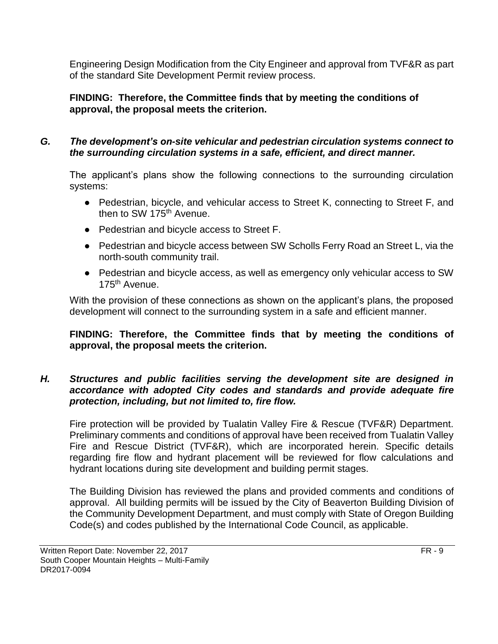Engineering Design Modification from the City Engineer and approval from TVF&R as part of the standard Site Development Permit review process.

# **FINDING: Therefore, the Committee finds that by meeting the conditions of approval, the proposal meets the criterion.**

# *G. The development's on-site vehicular and pedestrian circulation systems connect to the surrounding circulation systems in a safe, efficient, and direct manner.*

The applicant's plans show the following connections to the surrounding circulation systems:

- Pedestrian, bicycle, and vehicular access to Street K, connecting to Street F, and then to SW 175<sup>th</sup> Avenue.
- Pedestrian and bicycle access to Street F.
- Pedestrian and bicycle access between SW Scholls Ferry Road an Street L, via the north-south community trail.
- Pedestrian and bicycle access, as well as emergency only vehicular access to SW 175th Avenue.

With the provision of these connections as shown on the applicant's plans, the proposed development will connect to the surrounding system in a safe and efficient manner.

# **FINDING: Therefore, the Committee finds that by meeting the conditions of approval, the proposal meets the criterion.**

# *H. Structures and public facilities serving the development site are designed in accordance with adopted City codes and standards and provide adequate fire protection, including, but not limited to, fire flow.*

Fire protection will be provided by Tualatin Valley Fire & Rescue (TVF&R) Department. Preliminary comments and conditions of approval have been received from Tualatin Valley Fire and Rescue District (TVF&R), which are incorporated herein. Specific details regarding fire flow and hydrant placement will be reviewed for flow calculations and hydrant locations during site development and building permit stages.

The Building Division has reviewed the plans and provided comments and conditions of approval. All building permits will be issued by the City of Beaverton Building Division of the Community Development Department, and must comply with State of Oregon Building Code(s) and codes published by the International Code Council, as applicable.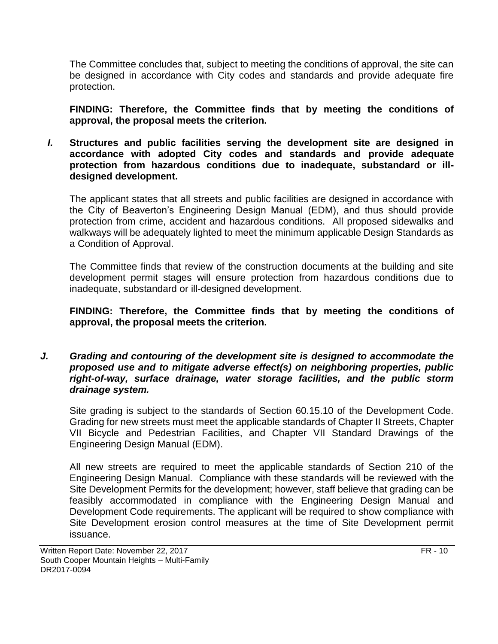The Committee concludes that, subject to meeting the conditions of approval, the site can be designed in accordance with City codes and standards and provide adequate fire protection.

**FINDING: Therefore, the Committee finds that by meeting the conditions of approval, the proposal meets the criterion.** 

*I.* **Structures and public facilities serving the development site are designed in accordance with adopted City codes and standards and provide adequate protection from hazardous conditions due to inadequate, substandard or illdesigned development.**

The applicant states that all streets and public facilities are designed in accordance with the City of Beaverton's Engineering Design Manual (EDM), and thus should provide protection from crime, accident and hazardous conditions. All proposed sidewalks and walkways will be adequately lighted to meet the minimum applicable Design Standards as a Condition of Approval.

The Committee finds that review of the construction documents at the building and site development permit stages will ensure protection from hazardous conditions due to inadequate, substandard or ill-designed development.

# **FINDING: Therefore, the Committee finds that by meeting the conditions of approval, the proposal meets the criterion.**

*J. Grading and contouring of the development site is designed to accommodate the proposed use and to mitigate adverse effect(s) on neighboring properties, public right-of-way, surface drainage, water storage facilities, and the public storm drainage system.*

Site grading is subject to the standards of Section 60.15.10 of the Development Code. Grading for new streets must meet the applicable standards of Chapter II Streets, Chapter VII Bicycle and Pedestrian Facilities, and Chapter VII Standard Drawings of the Engineering Design Manual (EDM).

All new streets are required to meet the applicable standards of Section 210 of the Engineering Design Manual. Compliance with these standards will be reviewed with the Site Development Permits for the development; however, staff believe that grading can be feasibly accommodated in compliance with the Engineering Design Manual and Development Code requirements. The applicant will be required to show compliance with Site Development erosion control measures at the time of Site Development permit issuance.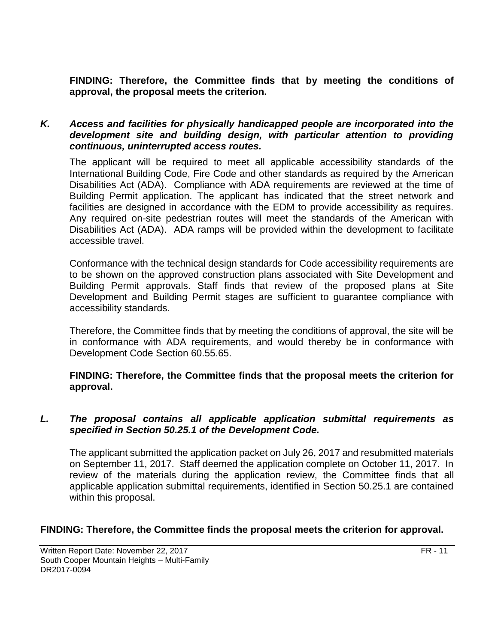**FINDING: Therefore, the Committee finds that by meeting the conditions of approval, the proposal meets the criterion.** 

### *K. Access and facilities for physically handicapped people are incorporated into the development site and building design, with particular attention to providing continuous, uninterrupted access routes.*

The applicant will be required to meet all applicable accessibility standards of the International Building Code, Fire Code and other standards as required by the American Disabilities Act (ADA). Compliance with ADA requirements are reviewed at the time of Building Permit application. The applicant has indicated that the street network and facilities are designed in accordance with the EDM to provide accessibility as requires. Any required on-site pedestrian routes will meet the standards of the American with Disabilities Act (ADA). ADA ramps will be provided within the development to facilitate accessible travel.

Conformance with the technical design standards for Code accessibility requirements are to be shown on the approved construction plans associated with Site Development and Building Permit approvals. Staff finds that review of the proposed plans at Site Development and Building Permit stages are sufficient to guarantee compliance with accessibility standards.

Therefore, the Committee finds that by meeting the conditions of approval, the site will be in conformance with ADA requirements, and would thereby be in conformance with Development Code Section 60.55.65.

**FINDING: Therefore, the Committee finds that the proposal meets the criterion for approval.**

# *L. The proposal contains all applicable application submittal requirements as specified in Section 50.25.1 of the Development Code.*

The applicant submitted the application packet on July 26, 2017 and resubmitted materials on September 11, 2017. Staff deemed the application complete on October 11, 2017. In review of the materials during the application review, the Committee finds that all applicable application submittal requirements, identified in Section 50.25.1 are contained within this proposal.

# **FINDING: Therefore, the Committee finds the proposal meets the criterion for approval.**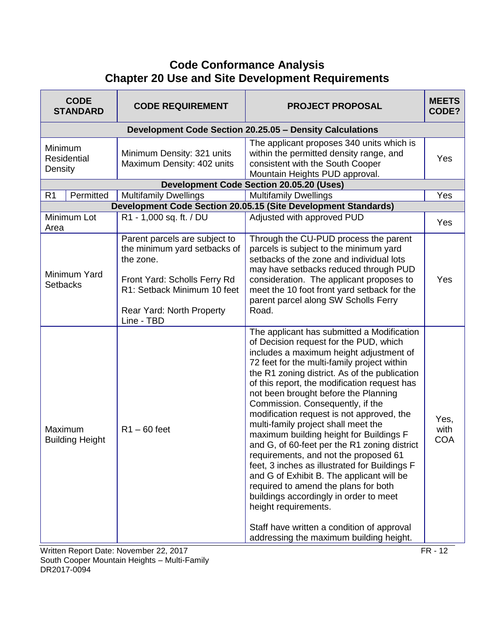# **Code Conformance Analysis Chapter 20 Use and Site Development Requirements**

| <b>CODE</b><br><b>STANDARD</b>    | <b>CODE REQUIREMENT</b>                                                                                                                                                              | <b>PROJECT PROPOSAL</b>                                                                                                                                                                                                                                                                                                                                                                                                                                                                                                                                                                                                                                                                                                                                                                                                                                                              | <b>MEETS</b><br>CODE?      |
|-----------------------------------|--------------------------------------------------------------------------------------------------------------------------------------------------------------------------------------|--------------------------------------------------------------------------------------------------------------------------------------------------------------------------------------------------------------------------------------------------------------------------------------------------------------------------------------------------------------------------------------------------------------------------------------------------------------------------------------------------------------------------------------------------------------------------------------------------------------------------------------------------------------------------------------------------------------------------------------------------------------------------------------------------------------------------------------------------------------------------------------|----------------------------|
|                                   |                                                                                                                                                                                      | Development Code Section 20.25.05 - Density Calculations                                                                                                                                                                                                                                                                                                                                                                                                                                                                                                                                                                                                                                                                                                                                                                                                                             |                            |
| Minimum<br>Residential<br>Density | Minimum Density: 321 units<br>Maximum Density: 402 units                                                                                                                             | The applicant proposes 340 units which is<br>within the permitted density range, and<br>consistent with the South Cooper<br>Mountain Heights PUD approval.                                                                                                                                                                                                                                                                                                                                                                                                                                                                                                                                                                                                                                                                                                                           | Yes                        |
|                                   |                                                                                                                                                                                      | <b>Development Code Section 20.05.20 (Uses)</b>                                                                                                                                                                                                                                                                                                                                                                                                                                                                                                                                                                                                                                                                                                                                                                                                                                      |                            |
| Permitted<br>R <sub>1</sub>       | <b>Multifamily Dwellings</b>                                                                                                                                                         | <b>Multifamily Dwellings</b>                                                                                                                                                                                                                                                                                                                                                                                                                                                                                                                                                                                                                                                                                                                                                                                                                                                         | Yes                        |
|                                   |                                                                                                                                                                                      | Development Code Section 20.05.15 (Site Development Standards)                                                                                                                                                                                                                                                                                                                                                                                                                                                                                                                                                                                                                                                                                                                                                                                                                       |                            |
| Minimum Lot<br>Area               | R1 - 1,000 sq. ft. / DU                                                                                                                                                              | Adjusted with approved PUD                                                                                                                                                                                                                                                                                                                                                                                                                                                                                                                                                                                                                                                                                                                                                                                                                                                           | Yes                        |
| Minimum Yard<br><b>Setbacks</b>   | Parent parcels are subject to<br>the minimum yard setbacks of<br>the zone.<br>Front Yard: Scholls Ferry Rd<br>R1: Setback Minimum 10 feet<br>Rear Yard: North Property<br>Line - TBD | Through the CU-PUD process the parent<br>parcels is subject to the minimum yard<br>setbacks of the zone and individual lots<br>may have setbacks reduced through PUD<br>consideration. The applicant proposes to<br>meet the 10 foot front yard setback for the<br>parent parcel along SW Scholls Ferry<br>Road.                                                                                                                                                                                                                                                                                                                                                                                                                                                                                                                                                                     | Yes                        |
| Maximum<br><b>Building Height</b> | $R1 - 60$ feet                                                                                                                                                                       | The applicant has submitted a Modification<br>of Decision request for the PUD, which<br>includes a maximum height adjustment of<br>72 feet for the multi-family project within<br>the R1 zoning district. As of the publication<br>of this report, the modification request has<br>not been brought before the Planning<br>Commission. Consequently, if the<br>modification request is not approved, the<br>multi-family project shall meet the<br>maximum building height for Buildings F<br>and G, of 60-feet per the R1 zoning district<br>requirements, and not the proposed 61<br>feet, 3 inches as illustrated for Buildings F<br>and G of Exhibit B. The applicant will be<br>required to amend the plans for both<br>buildings accordingly in order to meet<br>height requirements.<br>Staff have written a condition of approval<br>addressing the maximum building height. | Yes,<br>with<br><b>COA</b> |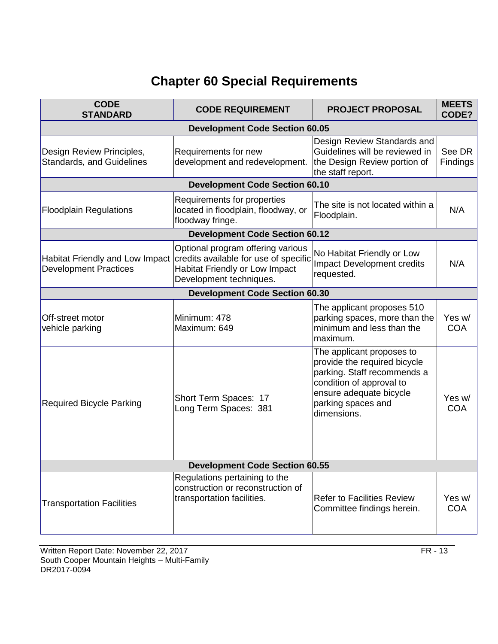# **Chapter 60 Special Requirements**

| <b>CODE</b><br><b>STANDARD</b>                                | <b>CODE REQUIREMENT</b>                                                                                                                                                        | <b>PROJECT PROPOSAL</b>                                                                                                                                                              | <b>MEETS</b><br>CODE? |  |
|---------------------------------------------------------------|--------------------------------------------------------------------------------------------------------------------------------------------------------------------------------|--------------------------------------------------------------------------------------------------------------------------------------------------------------------------------------|-----------------------|--|
|                                                               | <b>Development Code Section 60.05</b>                                                                                                                                          |                                                                                                                                                                                      |                       |  |
| Design Review Principles,<br><b>Standards, and Guidelines</b> | Requirements for new<br>development and redevelopment.                                                                                                                         | Design Review Standards and<br>Guidelines will be reviewed in<br>the Design Review portion of<br>the staff report.                                                                   | See DR<br>Findings    |  |
|                                                               | <b>Development Code Section 60.10</b>                                                                                                                                          |                                                                                                                                                                                      |                       |  |
| <b>Floodplain Regulations</b>                                 | Requirements for properties<br>located in floodplain, floodway, or<br>floodway fringe.                                                                                         | The site is not located within a<br>Floodplain.                                                                                                                                      | N/A                   |  |
|                                                               | <b>Development Code Section 60.12</b>                                                                                                                                          |                                                                                                                                                                                      |                       |  |
| <b>Development Practices</b>                                  | Optional program offering various<br>Habitat Friendly and Low Impact credits available for use of specific<br><b>Habitat Friendly or Low Impact</b><br>Development techniques. | No Habitat Friendly or Low<br><b>Impact Development credits</b><br>requested.                                                                                                        | N/A                   |  |
|                                                               | <b>Development Code Section 60.30</b>                                                                                                                                          |                                                                                                                                                                                      |                       |  |
| Off-street motor<br>vehicle parking                           | Minimum: 478<br>Maximum: 649                                                                                                                                                   | The applicant proposes 510<br>parking spaces, more than the<br>minimum and less than the<br>maximum.                                                                                 | Yes w/<br><b>COA</b>  |  |
| <b>Required Bicycle Parking</b>                               | Short Term Spaces: 17<br>Long Term Spaces: 381                                                                                                                                 | The applicant proposes to<br>provide the required bicycle<br>parking. Staff recommends a<br>condition of approval to<br>ensure adequate bicycle<br>parking spaces and<br>dimensions. | Yes w/<br><b>COA</b>  |  |
| <b>Development Code Section 60.55</b>                         |                                                                                                                                                                                |                                                                                                                                                                                      |                       |  |
| <b>Transportation Facilities</b>                              | Regulations pertaining to the<br>construction or reconstruction of<br>transportation facilities.                                                                               | <b>Refer to Facilities Review</b><br>Committee findings herein.                                                                                                                      | Yes w/<br><b>COA</b>  |  |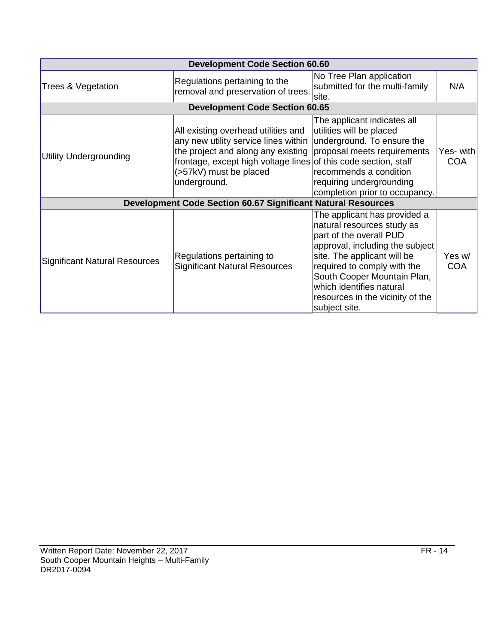| <b>Development Code Section 60.60</b> |                                                                                                                                                                                                                                |                                                                                                                                                                                                                                                                                                        |                          |
|---------------------------------------|--------------------------------------------------------------------------------------------------------------------------------------------------------------------------------------------------------------------------------|--------------------------------------------------------------------------------------------------------------------------------------------------------------------------------------------------------------------------------------------------------------------------------------------------------|--------------------------|
| Trees & Vegetation                    | Regulations pertaining to the<br>removal and preservation of trees.                                                                                                                                                            | No Tree Plan application<br>submitted for the multi-family<br>site.                                                                                                                                                                                                                                    | N/A                      |
|                                       | <b>Development Code Section 60.65</b>                                                                                                                                                                                          |                                                                                                                                                                                                                                                                                                        |                          |
| <b>Utility Undergrounding</b>         | All existing overhead utilities and<br>any new utility service lines within<br>the project and along any existing<br>frontage, except high voltage lines of this code section, staff<br>(>57kV) must be placed<br>underground. | The applicant indicates all<br>utilities will be placed<br>underground. To ensure the<br>proposal meets requirements<br>recommends a condition<br>requiring undergrounding<br>completion prior to occupancy.                                                                                           | Yes- with <br><b>COA</b> |
|                                       | <b>Development Code Section 60.67 Significant Natural Resources</b>                                                                                                                                                            |                                                                                                                                                                                                                                                                                                        |                          |
| Significant Natural Resources         | Regulations pertaining to<br><b>Significant Natural Resources</b>                                                                                                                                                              | The applicant has provided a<br>natural resources study as<br>part of the overall PUD<br>approval, including the subject<br>site. The applicant will be<br>required to comply with the<br>South Cooper Mountain Plan,<br>which identifies natural<br>resources in the vicinity of the<br>subject site. | Yes w/<br><b>COA</b>     |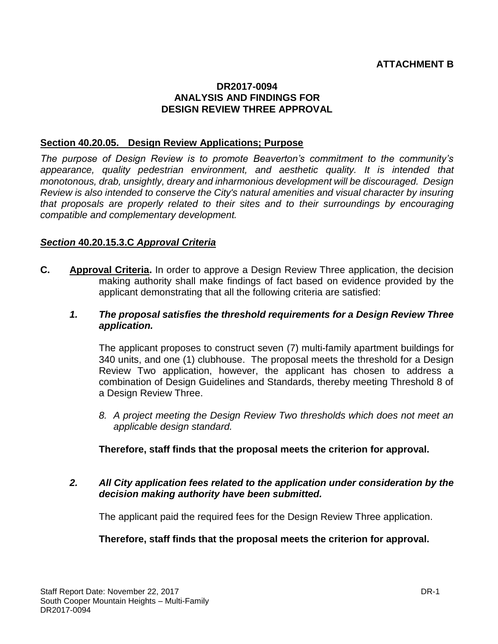# **DR2017-0094 ANALYSIS AND FINDINGS FOR DESIGN REVIEW THREE APPROVAL**

# **Section 40.20.05. Design Review Applications; Purpose**

*The purpose of Design Review is to promote Beaverton's commitment to the community's appearance, quality pedestrian environment, and aesthetic quality. It is intended that monotonous, drab, unsightly, dreary and inharmonious development will be discouraged. Design Review is also intended to conserve the City's natural amenities and visual character by insuring that proposals are properly related to their sites and to their surroundings by encouraging compatible and complementary development.*

# *Section* **40.20.15.3.C** *Approval Criteria*

- **C. Approval Criteria.** In order to approve a Design Review Three application, the decision making authority shall make findings of fact based on evidence provided by the applicant demonstrating that all the following criteria are satisfied:
	- *1. The proposal satisfies the threshold requirements for a Design Review Three application.*

The applicant proposes to construct seven (7) multi-family apartment buildings for 340 units, and one (1) clubhouse. The proposal meets the threshold for a Design Review Two application, however, the applicant has chosen to address a combination of Design Guidelines and Standards, thereby meeting Threshold 8 of a Design Review Three.

*8. A project meeting the Design Review Two thresholds which does not meet an applicable design standard.*

# **Therefore, staff finds that the proposal meets the criterion for approval.**

*2. All City application fees related to the application under consideration by the decision making authority have been submitted.*

The applicant paid the required fees for the Design Review Three application.

# **Therefore, staff finds that the proposal meets the criterion for approval.**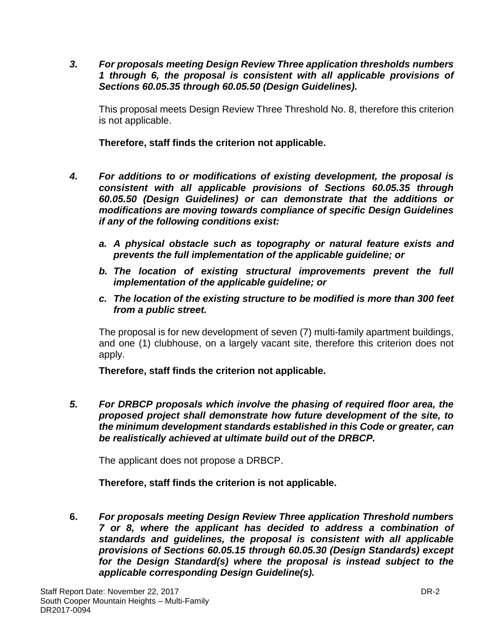*3. For proposals meeting Design Review Three application thresholds numbers 1 through 6, the proposal is consistent with all applicable provisions of Sections 60.05.35 through 60.05.50 (Design Guidelines).*

This proposal meets Design Review Three Threshold No. 8, therefore this criterion is not applicable.

**Therefore, staff finds the criterion not applicable.**

- *4. For additions to or modifications of existing development, the proposal is consistent with all applicable provisions of Sections 60.05.35 through 60.05.50 (Design Guidelines) or can demonstrate that the additions or modifications are moving towards compliance of specific Design Guidelines if any of the following conditions exist:*
	- *a. A physical obstacle such as topography or natural feature exists and prevents the full implementation of the applicable guideline; or*
	- *b. The location of existing structural improvements prevent the full implementation of the applicable guideline; or*
	- *c. The location of the existing structure to be modified is more than 300 feet from a public street.*

The proposal is for new development of seven (7) multi-family apartment buildings, and one (1) clubhouse, on a largely vacant site, therefore this criterion does not apply.

**Therefore, staff finds the criterion not applicable.**

*5. For DRBCP proposals which involve the phasing of required floor area, the proposed project shall demonstrate how future development of the site, to the minimum development standards established in this Code or greater, can be realistically achieved at ultimate build out of the DRBCP.*

The applicant does not propose a DRBCP.

**Therefore, staff finds the criterion is not applicable.**

**6.** *For proposals meeting Design Review Three application Threshold numbers 7 or 8, where the applicant has decided to address a combination of standards and guidelines, the proposal is consistent with all applicable provisions of Sections 60.05.15 through 60.05.30 (Design Standards) except for the Design Standard(s) where the proposal is instead subject to the applicable corresponding Design Guideline(s).*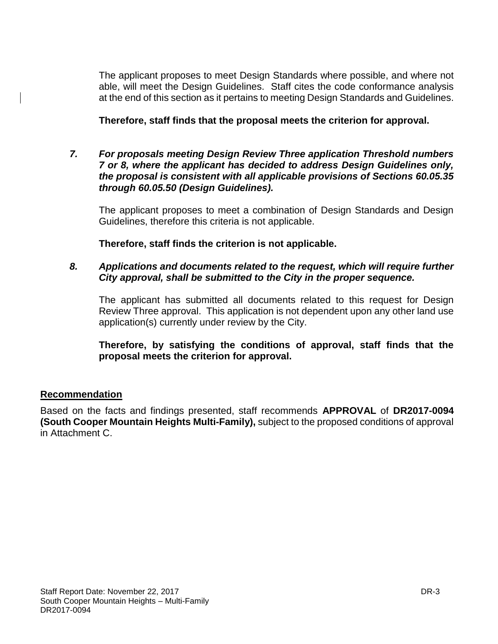The applicant proposes to meet Design Standards where possible, and where not able, will meet the Design Guidelines. Staff cites the code conformance analysis at the end of this section as it pertains to meeting Design Standards and Guidelines.

**Therefore, staff finds that the proposal meets the criterion for approval.**

*7. For proposals meeting Design Review Three application Threshold numbers 7 or 8, where the applicant has decided to address Design Guidelines only, the proposal is consistent with all applicable provisions of Sections 60.05.35 through 60.05.50 (Design Guidelines).*

The applicant proposes to meet a combination of Design Standards and Design Guidelines, therefore this criteria is not applicable.

**Therefore, staff finds the criterion is not applicable.**

# *8. Applications and documents related to the request, which will require further City approval, shall be submitted to the City in the proper sequence.*

The applicant has submitted all documents related to this request for Design Review Three approval. This application is not dependent upon any other land use application(s) currently under review by the City.

**Therefore, by satisfying the conditions of approval, staff finds that the proposal meets the criterion for approval.**

# **Recommendation**

Based on the facts and findings presented, staff recommends **APPROVAL** of **DR2017-0094 (South Cooper Mountain Heights Multi-Family),** subject to the proposed conditions of approval in Attachment C.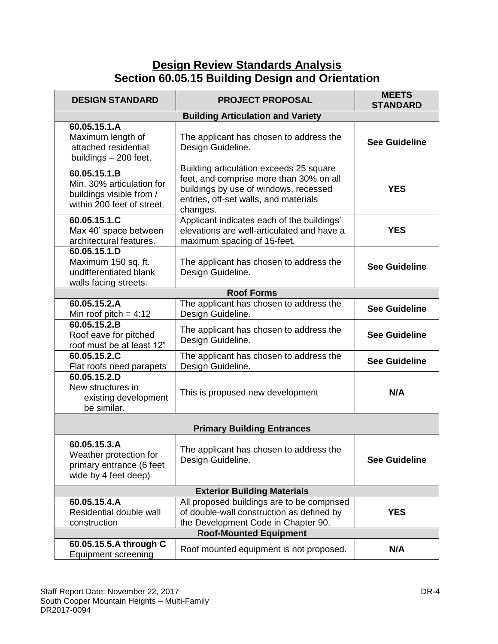# **Design Review Standards Analysis Section 60.05.15 Building Design and Orientation**

| <b>DESIGN STANDARD</b>                                                                              | <b>PROJECT PROPOSAL</b>                                                                                                                                                          | <b>MEETS</b><br><b>STANDARD</b> |  |
|-----------------------------------------------------------------------------------------------------|----------------------------------------------------------------------------------------------------------------------------------------------------------------------------------|---------------------------------|--|
|                                                                                                     | <b>Building Articulation and Variety</b>                                                                                                                                         |                                 |  |
| 60.05.15.1.A<br>Maximum length of<br>attached residential<br>buildings - 200 feet.                  | The applicant has chosen to address the<br>Design Guideline.                                                                                                                     | <b>See Guideline</b>            |  |
| 60.05.15.1.B<br>Min. 30% articulation for<br>buildings visible from /<br>within 200 feet of street. | Building articulation exceeds 25 square<br>feet, and comprise more than 30% on all<br>buildings by use of windows, recessed<br>entries, off-set walls, and materials<br>changes. | <b>YES</b>                      |  |
| 60.05.15.1.C<br>Max 40' space between<br>architectural features.                                    | Applicant indicates each of the buildings'<br>elevations are well-articulated and have a<br>maximum spacing of 15-feet.                                                          | <b>YES</b>                      |  |
| 60.05.15.1.D<br>Maximum 150 sq. ft.<br>undifferentiated blank<br>walls facing streets.              | The applicant has chosen to address the<br>Design Guideline.                                                                                                                     | <b>See Guideline</b>            |  |
|                                                                                                     | <b>Roof Forms</b>                                                                                                                                                                |                                 |  |
| 60.05.15.2.A<br>Min roof pitch = $4:12$                                                             | The applicant has chosen to address the<br>Design Guideline.                                                                                                                     | <b>See Guideline</b>            |  |
| 60.05.15.2.B<br>Roof eave for pitched<br>roof must be at least 12"                                  | The applicant has chosen to address the<br>Design Guideline.                                                                                                                     | <b>See Guideline</b>            |  |
| 60.05.15.2.C<br>Flat roofs need parapets                                                            | The applicant has chosen to address the<br>Design Guideline.                                                                                                                     | <b>See Guideline</b>            |  |
| 60.05.15.2.D<br>New structures in<br>existing development<br>be similar.                            | This is proposed new development                                                                                                                                                 | N/A                             |  |
| <b>Primary Building Entrances</b>                                                                   |                                                                                                                                                                                  |                                 |  |
| 60.05.15.3.A<br>Weather protection for<br>primary entrance (6 feet<br>wide by 4 feet deep)          | The applicant has chosen to address the<br>Design Guideline.                                                                                                                     | <b>See Guideline</b>            |  |
| <b>Exterior Building Materials</b>                                                                  |                                                                                                                                                                                  |                                 |  |
| 60.05.15.4.A<br>Residential double wall<br>construction                                             | All proposed buildings are to be comprised<br>of double-wall construction as defined by<br>the Development Code in Chapter 90.                                                   | <b>YES</b>                      |  |
| <b>Roof-Mounted Equipment</b>                                                                       |                                                                                                                                                                                  |                                 |  |
| 60.05.15.5.A through C<br><b>Equipment screening</b>                                                | Roof mounted equipment is not proposed.                                                                                                                                          | N/A                             |  |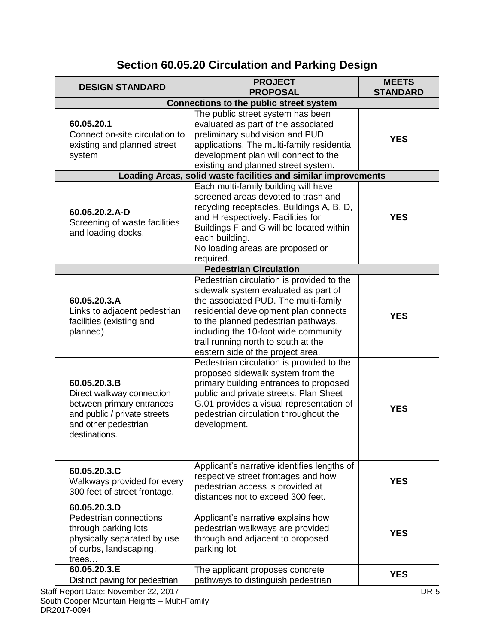# **Section 60.05.20 Circulation and Parking Design**

| <b>DESIGN STANDARD</b>                                                                                                                                                                                                                  | <b>PROJECT</b><br><b>PROPOSAL</b>                                                                                                                                                                                                                                                                                                                                                                                                                                                                                                                                                                        | <b>MEETS</b><br><b>STANDARD</b> |  |  |  |
|-----------------------------------------------------------------------------------------------------------------------------------------------------------------------------------------------------------------------------------------|----------------------------------------------------------------------------------------------------------------------------------------------------------------------------------------------------------------------------------------------------------------------------------------------------------------------------------------------------------------------------------------------------------------------------------------------------------------------------------------------------------------------------------------------------------------------------------------------------------|---------------------------------|--|--|--|
|                                                                                                                                                                                                                                         | <b>Connections to the public street system</b>                                                                                                                                                                                                                                                                                                                                                                                                                                                                                                                                                           |                                 |  |  |  |
| 60.05.20.1<br>Connect on-site circulation to<br>existing and planned street<br>system                                                                                                                                                   | The public street system has been<br>evaluated as part of the associated<br>preliminary subdivision and PUD<br>applications. The multi-family residential<br>development plan will connect to the<br>existing and planned street system.                                                                                                                                                                                                                                                                                                                                                                 | <b>YES</b>                      |  |  |  |
| Loading Areas, solid waste facilities and similar improvements                                                                                                                                                                          |                                                                                                                                                                                                                                                                                                                                                                                                                                                                                                                                                                                                          |                                 |  |  |  |
| 60.05.20.2.A-D<br>Screening of waste facilities<br>and loading docks.                                                                                                                                                                   | Each multi-family building will have<br>screened areas devoted to trash and<br>recycling receptacles. Buildings A, B, D,<br>and H respectively. Facilities for<br>Buildings F and G will be located within<br>each building.<br>No loading areas are proposed or<br>required.                                                                                                                                                                                                                                                                                                                            | <b>YES</b>                      |  |  |  |
|                                                                                                                                                                                                                                         | <b>Pedestrian Circulation</b>                                                                                                                                                                                                                                                                                                                                                                                                                                                                                                                                                                            |                                 |  |  |  |
| 60.05.20.3.A<br>Links to adjacent pedestrian<br>facilities (existing and<br>planned)<br>60.05.20.3.B<br>Direct walkway connection<br>between primary entrances<br>and public / private streets<br>and other pedestrian<br>destinations. | Pedestrian circulation is provided to the<br>sidewalk system evaluated as part of<br>the associated PUD. The multi-family<br>residential development plan connects<br>to the planned pedestrian pathways,<br>including the 10-foot wide community<br>trail running north to south at the<br>eastern side of the project area.<br>Pedestrian circulation is provided to the<br>proposed sidewalk system from the<br>primary building entrances to proposed<br>public and private streets. Plan Sheet<br>G.01 provides a visual representation of<br>pedestrian circulation throughout the<br>development. | <b>YES</b><br><b>YES</b>        |  |  |  |
| 60.05.20.3.C<br>Walkways provided for every<br>300 feet of street frontage.                                                                                                                                                             | Applicant's narrative identifies lengths of<br>respective street frontages and how<br>pedestrian access is provided at<br>distances not to exceed 300 feet.                                                                                                                                                                                                                                                                                                                                                                                                                                              | <b>YES</b>                      |  |  |  |
| 60.05.20.3.D<br>Pedestrian connections<br>through parking lots<br>physically separated by use<br>of curbs, landscaping,<br>trees                                                                                                        | Applicant's narrative explains how<br>pedestrian walkways are provided<br>through and adjacent to proposed<br>parking lot.                                                                                                                                                                                                                                                                                                                                                                                                                                                                               | <b>YES</b>                      |  |  |  |
| 60.05.20.3.E<br>Distinct paving for pedestrian                                                                                                                                                                                          | The applicant proposes concrete<br>pathways to distinguish pedestrian                                                                                                                                                                                                                                                                                                                                                                                                                                                                                                                                    | <b>YES</b>                      |  |  |  |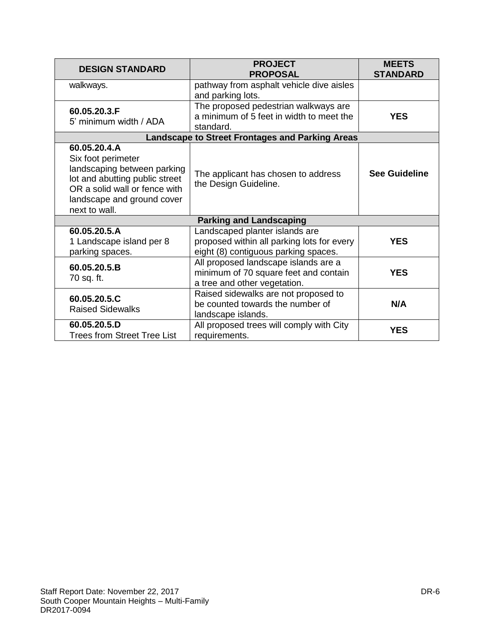| <b>DESIGN STANDARD</b>                                                                                                                                                              | <b>PROJECT</b><br><b>PROPOSAL</b>                                                                                    | <b>MEETS</b><br><b>STANDARD</b> |
|-------------------------------------------------------------------------------------------------------------------------------------------------------------------------------------|----------------------------------------------------------------------------------------------------------------------|---------------------------------|
| walkways.                                                                                                                                                                           | pathway from asphalt vehicle dive aisles<br>and parking lots.                                                        |                                 |
| 60.05.20.3.F<br>5' minimum width / ADA                                                                                                                                              | The proposed pedestrian walkways are<br>a minimum of 5 feet in width to meet the<br>standard.                        | <b>YES</b>                      |
|                                                                                                                                                                                     | <b>Landscape to Street Frontages and Parking Areas</b>                                                               |                                 |
| 60.05.20.4.A<br>Six foot perimeter<br>landscaping between parking<br>lot and abutting public street<br>OR a solid wall or fence with<br>landscape and ground cover<br>next to wall. | The applicant has chosen to address<br>the Design Guideline.                                                         | <b>See Guideline</b>            |
|                                                                                                                                                                                     | <b>Parking and Landscaping</b>                                                                                       |                                 |
| 60.05.20.5.A<br>1 Landscape island per 8<br>parking spaces.                                                                                                                         | Landscaped planter islands are<br>proposed within all parking lots for every<br>eight (8) contiguous parking spaces. | <b>YES</b>                      |
| 60.05.20.5.B<br>70 sq. ft.                                                                                                                                                          | All proposed landscape islands are a<br>minimum of 70 square feet and contain<br>a tree and other vegetation.        | <b>YES</b>                      |
| 60.05.20.5.C<br><b>Raised Sidewalks</b>                                                                                                                                             | Raised sidewalks are not proposed to<br>be counted towards the number of<br>landscape islands.                       | N/A                             |
| 60.05.20.5.D<br><b>Trees from Street Tree List</b>                                                                                                                                  | All proposed trees will comply with City<br>requirements.                                                            | <b>YES</b>                      |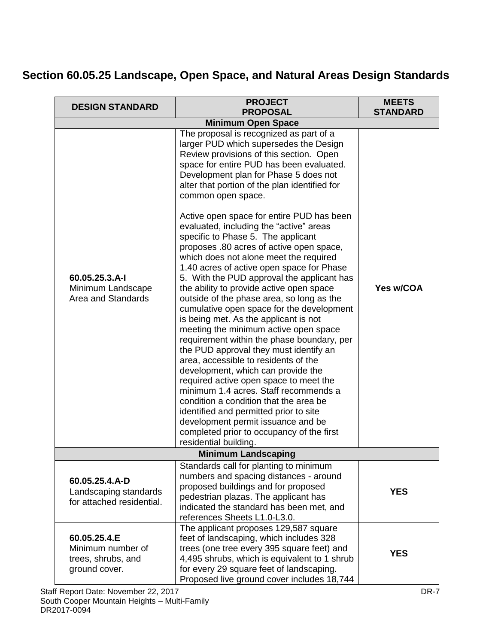# **Section 60.05.25 Landscape, Open Space, and Natural Areas Design Standards**

| <b>DESIGN STANDARD</b>                                                   | <b>PROJECT</b><br><b>PROPOSAL</b>                                                                                                                                                                                                                                                                                                                                                                                                                                                                                                                                                                                                                                                                                                                                                                                                                                                                                                                                                                                                                                                                                                                                                                                                                                                        | <b>MEETS</b><br><b>STANDARD</b> |
|--------------------------------------------------------------------------|------------------------------------------------------------------------------------------------------------------------------------------------------------------------------------------------------------------------------------------------------------------------------------------------------------------------------------------------------------------------------------------------------------------------------------------------------------------------------------------------------------------------------------------------------------------------------------------------------------------------------------------------------------------------------------------------------------------------------------------------------------------------------------------------------------------------------------------------------------------------------------------------------------------------------------------------------------------------------------------------------------------------------------------------------------------------------------------------------------------------------------------------------------------------------------------------------------------------------------------------------------------------------------------|---------------------------------|
|                                                                          | <b>Minimum Open Space</b>                                                                                                                                                                                                                                                                                                                                                                                                                                                                                                                                                                                                                                                                                                                                                                                                                                                                                                                                                                                                                                                                                                                                                                                                                                                                |                                 |
| 60.05.25.3.A-I<br>Minimum Landscape<br>Area and Standards                | The proposal is recognized as part of a<br>larger PUD which supersedes the Design<br>Review provisions of this section. Open<br>space for entire PUD has been evaluated.<br>Development plan for Phase 5 does not<br>alter that portion of the plan identified for<br>common open space.<br>Active open space for entire PUD has been<br>evaluated, including the "active" areas<br>specific to Phase 5. The applicant<br>proposes .80 acres of active open space,<br>which does not alone meet the required<br>1.40 acres of active open space for Phase<br>5. With the PUD approval the applicant has<br>the ability to provide active open space<br>outside of the phase area, so long as the<br>cumulative open space for the development<br>is being met. As the applicant is not<br>meeting the minimum active open space<br>requirement within the phase boundary, per<br>the PUD approval they must identify an<br>area, accessible to residents of the<br>development, which can provide the<br>required active open space to meet the<br>minimum 1.4 acres. Staff recommends a<br>condition a condition that the area be<br>identified and permitted prior to site<br>development permit issuance and be<br>completed prior to occupancy of the first<br>residential building. | Yes w/COA                       |
|                                                                          | <b>Minimum Landscaping</b>                                                                                                                                                                                                                                                                                                                                                                                                                                                                                                                                                                                                                                                                                                                                                                                                                                                                                                                                                                                                                                                                                                                                                                                                                                                               |                                 |
| 60.05.25.4.A-D<br>Landscaping standards<br>for attached residential.     | Standards call for planting to minimum<br>numbers and spacing distances - around<br>proposed buildings and for proposed<br>pedestrian plazas. The applicant has<br>indicated the standard has been met, and<br>references Sheets L1.0-L3.0.                                                                                                                                                                                                                                                                                                                                                                                                                                                                                                                                                                                                                                                                                                                                                                                                                                                                                                                                                                                                                                              | <b>YES</b>                      |
| 60.05.25.4.E<br>Minimum number of<br>trees, shrubs, and<br>ground cover. | The applicant proposes 129,587 square<br>feet of landscaping, which includes 328<br>trees (one tree every 395 square feet) and<br>4,495 shrubs, which is equivalent to 1 shrub<br>for every 29 square feet of landscaping.<br>Proposed live ground cover includes 18,744                                                                                                                                                                                                                                                                                                                                                                                                                                                                                                                                                                                                                                                                                                                                                                                                                                                                                                                                                                                                                 | <b>YES</b>                      |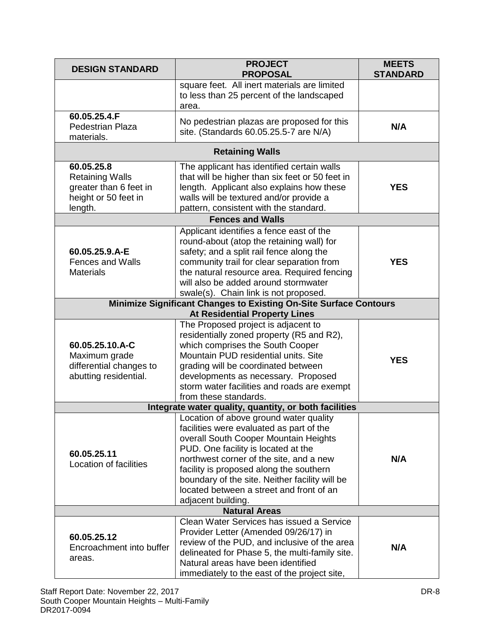| <b>DESIGN STANDARD</b>                                                                                    | <b>PROJECT</b><br><b>PROPOSAL</b>                                                                                                                                                                                                                                                                                                                                            | <b>MEETS</b><br><b>STANDARD</b> |  |
|-----------------------------------------------------------------------------------------------------------|------------------------------------------------------------------------------------------------------------------------------------------------------------------------------------------------------------------------------------------------------------------------------------------------------------------------------------------------------------------------------|---------------------------------|--|
|                                                                                                           | square feet. All inert materials are limited<br>to less than 25 percent of the landscaped<br>area.                                                                                                                                                                                                                                                                           |                                 |  |
| 60.05.25.4.F<br><b>Pedestrian Plaza</b><br>materials.                                                     | No pedestrian plazas are proposed for this<br>site. (Standards 60.05.25.5-7 are N/A)                                                                                                                                                                                                                                                                                         | N/A                             |  |
|                                                                                                           | <b>Retaining Walls</b>                                                                                                                                                                                                                                                                                                                                                       |                                 |  |
| 60.05.25.8<br><b>Retaining Walls</b><br>greater than 6 feet in<br>height or 50 feet in<br>length.         | The applicant has identified certain walls<br>that will be higher than six feet or 50 feet in<br>length. Applicant also explains how these<br>walls will be textured and/or provide a<br>pattern, consistent with the standard.                                                                                                                                              | <b>YES</b>                      |  |
|                                                                                                           | <b>Fences and Walls</b>                                                                                                                                                                                                                                                                                                                                                      |                                 |  |
| 60.05.25.9.A-E<br><b>Fences and Walls</b><br><b>Materials</b>                                             | Applicant identifies a fence east of the<br>round-about (atop the retaining wall) for<br>safety; and a split rail fence along the<br>community trail for clear separation from<br>the natural resource area. Required fencing<br>will also be added around stormwater<br>swale(s). Chain link is not proposed.                                                               | <b>YES</b>                      |  |
| Minimize Significant Changes to Existing On-Site Surface Contours<br><b>At Residential Property Lines</b> |                                                                                                                                                                                                                                                                                                                                                                              |                                 |  |
| 60.05.25.10.A-C<br>Maximum grade<br>differential changes to<br>abutting residential.                      | The Proposed project is adjacent to<br>residentially zoned property (R5 and R2),<br>which comprises the South Cooper<br>Mountain PUD residential units. Site<br>grading will be coordinated between<br>developments as necessary. Proposed<br>storm water facilities and roads are exempt<br>from these standards.                                                           | <b>YES</b>                      |  |
|                                                                                                           | Integrate water quality, quantity, or both facilities                                                                                                                                                                                                                                                                                                                        |                                 |  |
| 60.05.25.11<br>Location of facilities                                                                     | Location of above ground water quality<br>facilities were evaluated as part of the<br>overall South Cooper Mountain Heights<br>PUD. One facility is located at the<br>northwest corner of the site, and a new<br>facility is proposed along the southern<br>boundary of the site. Neither facility will be<br>located between a street and front of an<br>adjacent building. | N/A                             |  |
| <b>Natural Areas</b>                                                                                      |                                                                                                                                                                                                                                                                                                                                                                              |                                 |  |
| 60.05.25.12<br>Encroachment into buffer<br>areas.                                                         | Clean Water Services has issued a Service<br>Provider Letter (Amended 09/26/17) in<br>review of the PUD, and inclusive of the area<br>delineated for Phase 5, the multi-family site.<br>Natural areas have been identified<br>immediately to the east of the project site,                                                                                                   | N/A                             |  |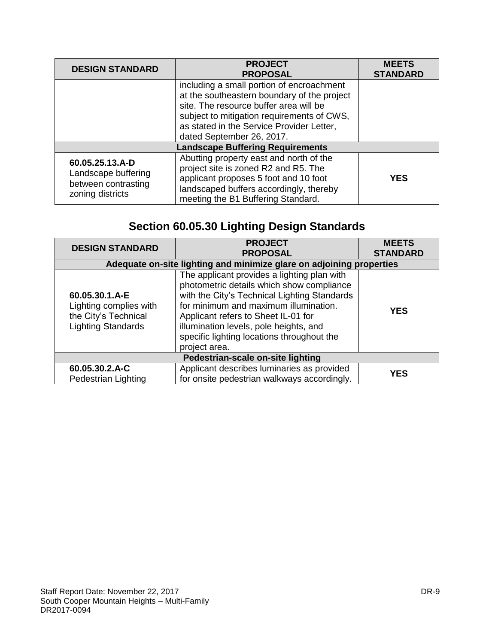| <b>DESIGN STANDARD</b>                                                            | <b>PROJECT</b><br><b>PROPOSAL</b>                                                                                                                                                                                                                          | <b>MEETS</b><br><b>STANDARD</b> |
|-----------------------------------------------------------------------------------|------------------------------------------------------------------------------------------------------------------------------------------------------------------------------------------------------------------------------------------------------------|---------------------------------|
|                                                                                   | including a small portion of encroachment<br>at the southeastern boundary of the project<br>site. The resource buffer area will be<br>subject to mitigation requirements of CWS,<br>as stated in the Service Provider Letter,<br>dated September 26, 2017. |                                 |
| <b>Landscape Buffering Requirements</b>                                           |                                                                                                                                                                                                                                                            |                                 |
| 60.05.25.13.A-D<br>Landscape buffering<br>between contrasting<br>zoning districts | Abutting property east and north of the<br>project site is zoned R2 and R5. The<br>applicant proposes 5 foot and 10 foot<br>landscaped buffers accordingly, thereby<br>meeting the B1 Buffering Standard.                                                  | <b>YES</b>                      |

# **Section 60.05.30 Lighting Design Standards**

| <b>DESIGN STANDARD</b>                                                                        | <b>PROJECT</b><br><b>PROPOSAL</b>                                                                                                                                                                                                                                                                                                 | <b>MEETS</b><br><b>STANDARD</b> |
|-----------------------------------------------------------------------------------------------|-----------------------------------------------------------------------------------------------------------------------------------------------------------------------------------------------------------------------------------------------------------------------------------------------------------------------------------|---------------------------------|
| Adequate on-site lighting and minimize glare on adjoining properties                          |                                                                                                                                                                                                                                                                                                                                   |                                 |
| 60.05.30.1.A-E<br>Lighting complies with<br>the City's Technical<br><b>Lighting Standards</b> | The applicant provides a lighting plan with<br>photometric details which show compliance<br>with the City's Technical Lighting Standards<br>for minimum and maximum illumination.<br>Applicant refers to Sheet IL-01 for<br>illumination levels, pole heights, and<br>specific lighting locations throughout the<br>project area. | <b>YES</b>                      |
| Pedestrian-scale on-site lighting                                                             |                                                                                                                                                                                                                                                                                                                                   |                                 |
| 60.05.30.2.A-C<br>Pedestrian Lighting                                                         | Applicant describes luminaries as provided<br>for onsite pedestrian walkways accordingly.                                                                                                                                                                                                                                         | <b>YES</b>                      |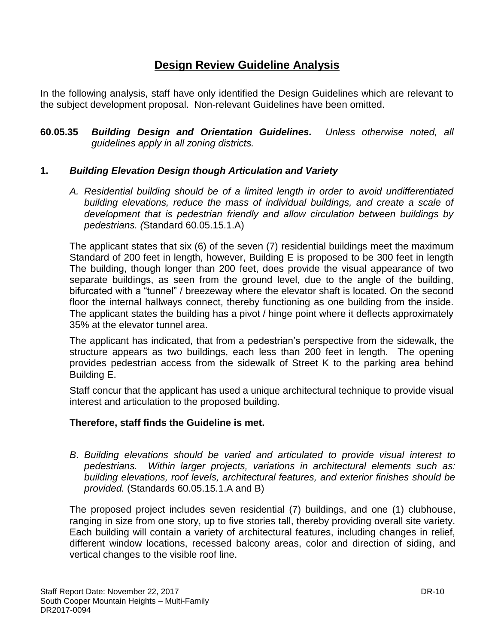# **Design Review Guideline Analysis**

In the following analysis, staff have only identified the Design Guidelines which are relevant to the subject development proposal. Non-relevant Guidelines have been omitted.

**60.05.35** *Building Design and Orientation Guidelines. Unless otherwise noted, all guidelines apply in all zoning districts.*

# **1.** *Building Elevation Design though Articulation and Variety*

*A. Residential building should be of a limited length in order to avoid undifferentiated building elevations, reduce the mass of individual buildings, and create a scale of development that is pedestrian friendly and allow circulation between buildings by pedestrians. (*Standard 60.05.15.1.A)

The applicant states that six (6) of the seven (7) residential buildings meet the maximum Standard of 200 feet in length, however, Building E is proposed to be 300 feet in length The building, though longer than 200 feet, does provide the visual appearance of two separate buildings, as seen from the ground level, due to the angle of the building, bifurcated with a "tunnel" / breezeway where the elevator shaft is located. On the second floor the internal hallways connect, thereby functioning as one building from the inside. The applicant states the building has a pivot / hinge point where it deflects approximately 35% at the elevator tunnel area.

The applicant has indicated, that from a pedestrian's perspective from the sidewalk, the structure appears as two buildings, each less than 200 feet in length. The opening provides pedestrian access from the sidewalk of Street K to the parking area behind Building E.

Staff concur that the applicant has used a unique architectural technique to provide visual interest and articulation to the proposed building.

# **Therefore, staff finds the Guideline is met.**

*B*. *Building elevations should be varied and articulated to provide visual interest to pedestrians. Within larger projects, variations in architectural elements such as: building elevations, roof levels, architectural features, and exterior finishes should be provided.* (Standards 60.05.15.1.A and B)

The proposed project includes seven residential (7) buildings, and one (1) clubhouse, ranging in size from one story, up to five stories tall, thereby providing overall site variety. Each building will contain a variety of architectural features, including changes in relief, different window locations, recessed balcony areas, color and direction of siding, and vertical changes to the visible roof line.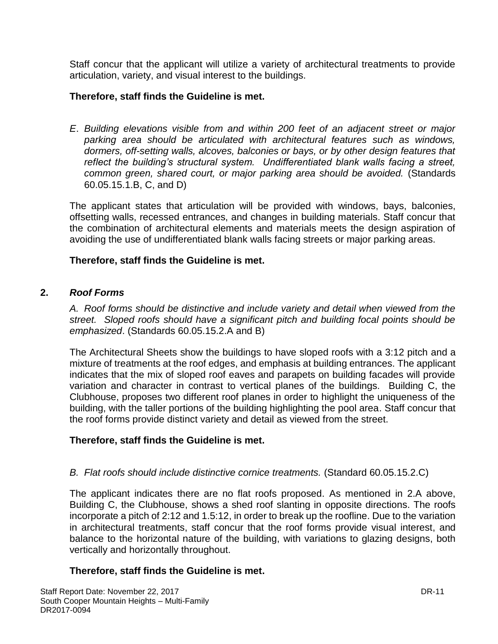Staff concur that the applicant will utilize a variety of architectural treatments to provide articulation, variety, and visual interest to the buildings.

# **Therefore, staff finds the Guideline is met.**

*E*. *Building elevations visible from and within 200 feet of an adjacent street or major parking area should be articulated with architectural features such as windows, dormers, off-setting walls, alcoves, balconies or bays, or by other design features that reflect the building's structural system. Undifferentiated blank walls facing a street, common green, shared court, or major parking area should be avoided.* (Standards 60.05.15.1.B, C, and D)

The applicant states that articulation will be provided with windows, bays, balconies, offsetting walls, recessed entrances, and changes in building materials. Staff concur that the combination of architectural elements and materials meets the design aspiration of avoiding the use of undifferentiated blank walls facing streets or major parking areas.

# **Therefore, staff finds the Guideline is met.**

# **2.** *Roof Forms*

*A. Roof forms should be distinctive and include variety and detail when viewed from the street. Sloped roofs should have a significant pitch and building focal points should be emphasized*. (Standards 60.05.15.2.A and B)

The Architectural Sheets show the buildings to have sloped roofs with a 3:12 pitch and a mixture of treatments at the roof edges, and emphasis at building entrances. The applicant indicates that the mix of sloped roof eaves and parapets on building facades will provide variation and character in contrast to vertical planes of the buildings. Building C, the Clubhouse, proposes two different roof planes in order to highlight the uniqueness of the building, with the taller portions of the building highlighting the pool area. Staff concur that the roof forms provide distinct variety and detail as viewed from the street.

# **Therefore, staff finds the Guideline is met.**

# *B. Flat roofs should include distinctive cornice treatments.* (Standard 60.05.15.2.C)

The applicant indicates there are no flat roofs proposed. As mentioned in 2.A above, Building C, the Clubhouse, shows a shed roof slanting in opposite directions. The roofs incorporate a pitch of 2:12 and 1.5:12, in order to break up the roofline. Due to the variation in architectural treatments, staff concur that the roof forms provide visual interest, and balance to the horizontal nature of the building, with variations to glazing designs, both vertically and horizontally throughout.

# **Therefore, staff finds the Guideline is met.**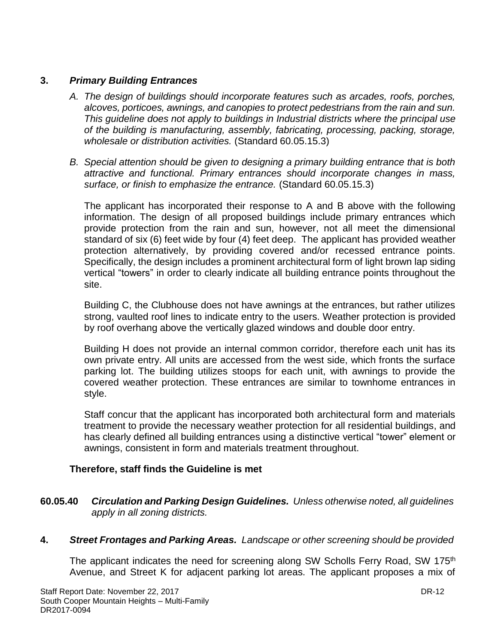# **3.** *Primary Building Entrances*

- *A. The design of buildings should incorporate features such as arcades, roofs, porches, alcoves, porticoes, awnings, and canopies to protect pedestrians from the rain and sun. This guideline does not apply to buildings in Industrial districts where the principal use of the building is manufacturing, assembly, fabricating, processing, packing, storage, wholesale or distribution activities.* (Standard 60.05.15.3)
- *B. Special attention should be given to designing a primary building entrance that is both attractive and functional. Primary entrances should incorporate changes in mass, surface, or finish to emphasize the entrance.* (Standard 60.05.15.3)

The applicant has incorporated their response to A and B above with the following information. The design of all proposed buildings include primary entrances which provide protection from the rain and sun, however, not all meet the dimensional standard of six (6) feet wide by four (4) feet deep. The applicant has provided weather protection alternatively, by providing covered and/or recessed entrance points. Specifically, the design includes a prominent architectural form of light brown lap siding vertical "towers" in order to clearly indicate all building entrance points throughout the site.

Building C, the Clubhouse does not have awnings at the entrances, but rather utilizes strong, vaulted roof lines to indicate entry to the users. Weather protection is provided by roof overhang above the vertically glazed windows and double door entry.

Building H does not provide an internal common corridor, therefore each unit has its own private entry. All units are accessed from the west side, which fronts the surface parking lot. The building utilizes stoops for each unit, with awnings to provide the covered weather protection. These entrances are similar to townhome entrances in style.

Staff concur that the applicant has incorporated both architectural form and materials treatment to provide the necessary weather protection for all residential buildings, and has clearly defined all building entrances using a distinctive vertical "tower" element or awnings, consistent in form and materials treatment throughout.

# **Therefore, staff finds the Guideline is met**

- **60.05.40** *Circulation and Parking Design Guidelines. Unless otherwise noted, all guidelines apply in all zoning districts.*
- **4.** *Street Frontages and Parking Areas. Landscape or other screening should be provided*

The applicant indicates the need for screening along SW Scholls Ferry Road, SW 175<sup>th</sup> Avenue, and Street K for adjacent parking lot areas. The applicant proposes a mix of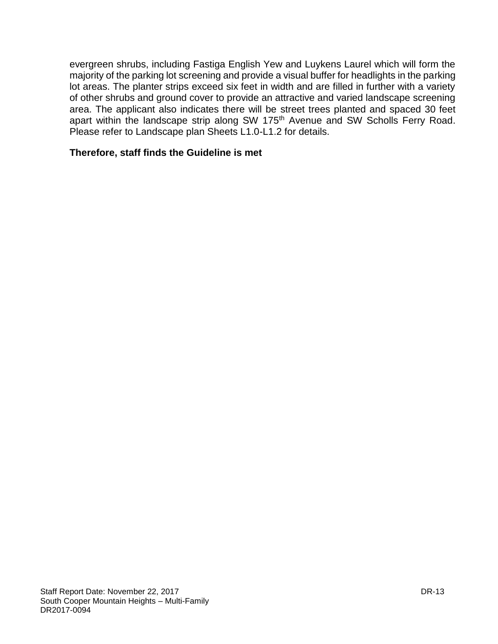evergreen shrubs, including Fastiga English Yew and Luykens Laurel which will form the majority of the parking lot screening and provide a visual buffer for headlights in the parking lot areas. The planter strips exceed six feet in width and are filled in further with a variety of other shrubs and ground cover to provide an attractive and varied landscape screening area. The applicant also indicates there will be street trees planted and spaced 30 feet apart within the landscape strip along SW 175<sup>th</sup> Avenue and SW Scholls Ferry Road. Please refer to Landscape plan Sheets L1.0-L1.2 for details.

### **Therefore, staff finds the Guideline is met**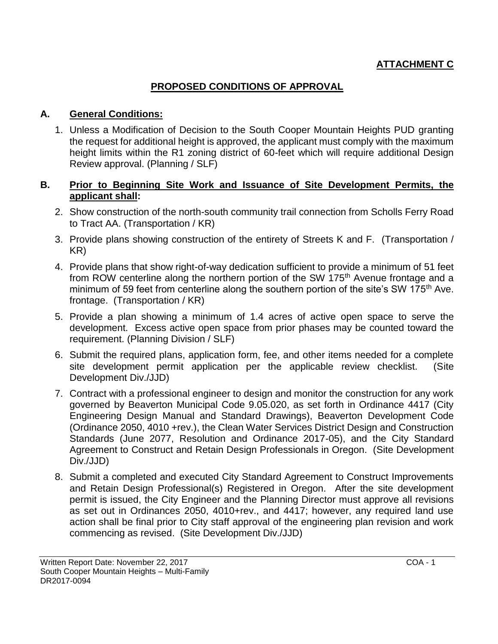# **ATTACHMENT C**

# **PROPOSED CONDITIONS OF APPROVAL**

# **A. General Conditions:**

1. Unless a Modification of Decision to the South Cooper Mountain Heights PUD granting the request for additional height is approved, the applicant must comply with the maximum height limits within the R1 zoning district of 60-feet which will require additional Design Review approval. (Planning / SLF)

# **B. Prior to Beginning Site Work and Issuance of Site Development Permits, the applicant shall:**

- 2. Show construction of the north-south community trail connection from Scholls Ferry Road to Tract AA. (Transportation / KR)
- 3. Provide plans showing construction of the entirety of Streets K and F. (Transportation / KR)
- 4. Provide plans that show right-of-way dedication sufficient to provide a minimum of 51 feet from ROW centerline along the northern portion of the SW 175<sup>th</sup> Avenue frontage and a minimum of 59 feet from centerline along the southern portion of the site's SW 175<sup>th</sup> Ave. frontage. (Transportation / KR)
- 5. Provide a plan showing a minimum of 1.4 acres of active open space to serve the development. Excess active open space from prior phases may be counted toward the requirement. (Planning Division / SLF)
- 6. Submit the required plans, application form, fee, and other items needed for a complete site development permit application per the applicable review checklist. (Site Development Div./JJD)
- 7. Contract with a professional engineer to design and monitor the construction for any work governed by Beaverton Municipal Code 9.05.020, as set forth in Ordinance 4417 (City Engineering Design Manual and Standard Drawings), Beaverton Development Code (Ordinance 2050, 4010 +rev.), the Clean Water Services District Design and Construction Standards (June 2077, Resolution and Ordinance 2017-05), and the City Standard Agreement to Construct and Retain Design Professionals in Oregon. (Site Development Div./JJD)
- 8. Submit a completed and executed City Standard Agreement to Construct Improvements and Retain Design Professional(s) Registered in Oregon. After the site development permit is issued, the City Engineer and the Planning Director must approve all revisions as set out in Ordinances 2050, 4010+rev., and 4417; however, any required land use action shall be final prior to City staff approval of the engineering plan revision and work commencing as revised. (Site Development Div./JJD)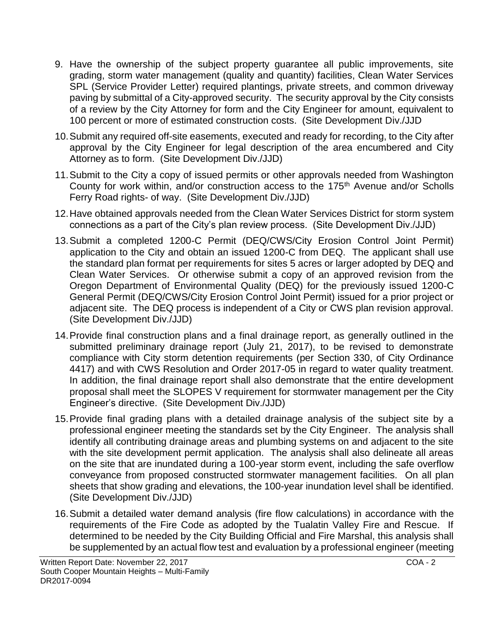- 9. Have the ownership of the subject property guarantee all public improvements, site grading, storm water management (quality and quantity) facilities, Clean Water Services SPL (Service Provider Letter) required plantings, private streets, and common driveway paving by submittal of a City-approved security. The security approval by the City consists of a review by the City Attorney for form and the City Engineer for amount, equivalent to 100 percent or more of estimated construction costs. (Site Development Div./JJD
- 10.Submit any required off-site easements, executed and ready for recording, to the City after approval by the City Engineer for legal description of the area encumbered and City Attorney as to form. (Site Development Div./JJD)
- 11.Submit to the City a copy of issued permits or other approvals needed from Washington County for work within, and/or construction access to the 175<sup>th</sup> Avenue and/or Scholls Ferry Road rights- of way. (Site Development Div./JJD)
- 12.Have obtained approvals needed from the Clean Water Services District for storm system connections as a part of the City's plan review process. (Site Development Div./JJD)
- 13.Submit a completed 1200-C Permit (DEQ/CWS/City Erosion Control Joint Permit) application to the City and obtain an issued 1200-C from DEQ. The applicant shall use the standard plan format per requirements for sites 5 acres or larger adopted by DEQ and Clean Water Services. Or otherwise submit a copy of an approved revision from the Oregon Department of Environmental Quality (DEQ) for the previously issued 1200-C General Permit (DEQ/CWS/City Erosion Control Joint Permit) issued for a prior project or adjacent site. The DEQ process is independent of a City or CWS plan revision approval. (Site Development Div./JJD)
- 14.Provide final construction plans and a final drainage report, as generally outlined in the submitted preliminary drainage report (July 21, 2017), to be revised to demonstrate compliance with City storm detention requirements (per Section 330, of City Ordinance 4417) and with CWS Resolution and Order 2017-05 in regard to water quality treatment. In addition, the final drainage report shall also demonstrate that the entire development proposal shall meet the SLOPES V requirement for stormwater management per the City Engineer's directive. (Site Development Div./JJD)
- 15.Provide final grading plans with a detailed drainage analysis of the subject site by a professional engineer meeting the standards set by the City Engineer. The analysis shall identify all contributing drainage areas and plumbing systems on and adjacent to the site with the site development permit application. The analysis shall also delineate all areas on the site that are inundated during a 100-year storm event, including the safe overflow conveyance from proposed constructed stormwater management facilities. On all plan sheets that show grading and elevations, the 100-year inundation level shall be identified. (Site Development Div./JJD)
- 16.Submit a detailed water demand analysis (fire flow calculations) in accordance with the requirements of the Fire Code as adopted by the Tualatin Valley Fire and Rescue. If determined to be needed by the City Building Official and Fire Marshal, this analysis shall be supplemented by an actual flow test and evaluation by a professional engineer (meeting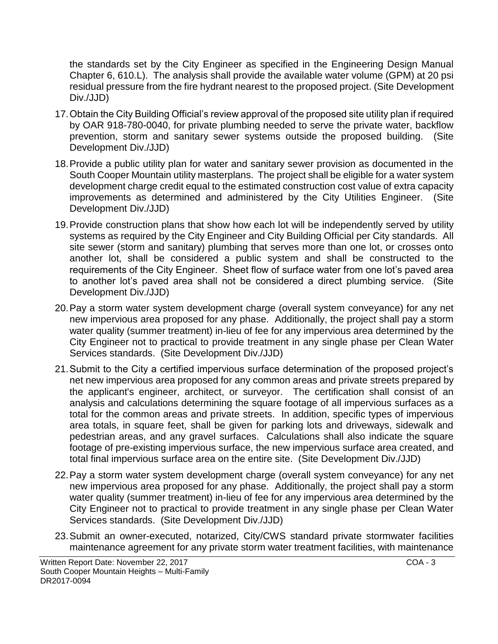the standards set by the City Engineer as specified in the Engineering Design Manual Chapter 6, 610.L). The analysis shall provide the available water volume (GPM) at 20 psi residual pressure from the fire hydrant nearest to the proposed project. (Site Development Div./JJD)

- 17.Obtain the City Building Official's review approval of the proposed site utility plan if required by OAR 918-780-0040, for private plumbing needed to serve the private water, backflow prevention, storm and sanitary sewer systems outside the proposed building. (Site Development Div./JJD)
- 18.Provide a public utility plan for water and sanitary sewer provision as documented in the South Cooper Mountain utility masterplans. The project shall be eligible for a water system development charge credit equal to the estimated construction cost value of extra capacity improvements as determined and administered by the City Utilities Engineer. (Site Development Div./JJD)
- 19.Provide construction plans that show how each lot will be independently served by utility systems as required by the City Engineer and City Building Official per City standards. All site sewer (storm and sanitary) plumbing that serves more than one lot, or crosses onto another lot, shall be considered a public system and shall be constructed to the requirements of the City Engineer. Sheet flow of surface water from one lot's paved area to another lot's paved area shall not be considered a direct plumbing service. (Site Development Div./JJD)
- 20.Pay a storm water system development charge (overall system conveyance) for any net new impervious area proposed for any phase. Additionally, the project shall pay a storm water quality (summer treatment) in-lieu of fee for any impervious area determined by the City Engineer not to practical to provide treatment in any single phase per Clean Water Services standards. (Site Development Div./JJD)
- 21.Submit to the City a certified impervious surface determination of the proposed project's net new impervious area proposed for any common areas and private streets prepared by the applicant's engineer, architect, or surveyor. The certification shall consist of an analysis and calculations determining the square footage of all impervious surfaces as a total for the common areas and private streets. In addition, specific types of impervious area totals, in square feet, shall be given for parking lots and driveways, sidewalk and pedestrian areas, and any gravel surfaces. Calculations shall also indicate the square footage of pre-existing impervious surface, the new impervious surface area created, and total final impervious surface area on the entire site. (Site Development Div./JJD)
- 22.Pay a storm water system development charge (overall system conveyance) for any net new impervious area proposed for any phase. Additionally, the project shall pay a storm water quality (summer treatment) in-lieu of fee for any impervious area determined by the City Engineer not to practical to provide treatment in any single phase per Clean Water Services standards. (Site Development Div./JJD)
- 23.Submit an owner-executed, notarized, City/CWS standard private stormwater facilities maintenance agreement for any private storm water treatment facilities, with maintenance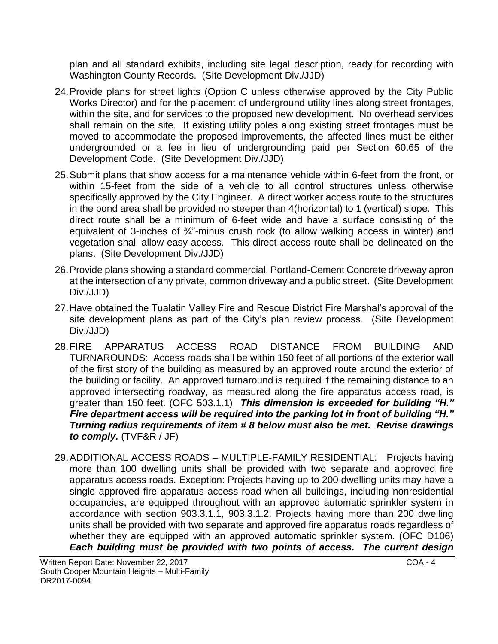plan and all standard exhibits, including site legal description, ready for recording with Washington County Records. (Site Development Div./JJD)

- 24.Provide plans for street lights (Option C unless otherwise approved by the City Public Works Director) and for the placement of underground utility lines along street frontages, within the site, and for services to the proposed new development. No overhead services shall remain on the site. If existing utility poles along existing street frontages must be moved to accommodate the proposed improvements, the affected lines must be either undergrounded or a fee in lieu of undergrounding paid per Section 60.65 of the Development Code. (Site Development Div./JJD)
- 25.Submit plans that show access for a maintenance vehicle within 6-feet from the front, or within 15-feet from the side of a vehicle to all control structures unless otherwise specifically approved by the City Engineer. A direct worker access route to the structures in the pond area shall be provided no steeper than 4(horizontal) to 1 (vertical) slope. This direct route shall be a minimum of 6-feet wide and have a surface consisting of the equivalent of 3-inches of  $\frac{3}{4}$ -minus crush rock (to allow walking access in winter) and vegetation shall allow easy access. This direct access route shall be delineated on the plans. (Site Development Div./JJD)
- 26.Provide plans showing a standard commercial, Portland-Cement Concrete driveway apron at the intersection of any private, common driveway and a public street. (Site Development Div./JJD)
- 27.Have obtained the Tualatin Valley Fire and Rescue District Fire Marshal's approval of the site development plans as part of the City's plan review process. (Site Development Div./JJD)
- 28.FIRE APPARATUS ACCESS ROAD DISTANCE FROM BUILDING AND TURNAROUNDS: Access roads shall be within 150 feet of all portions of the exterior wall of the first story of the building as measured by an approved route around the exterior of the building or facility. An approved turnaround is required if the remaining distance to an approved intersecting roadway, as measured along the fire apparatus access road, is greater than 150 feet. (OFC 503.1.1) *This dimension is exceeded for building "H." Fire department access will be required into the parking lot in front of building "H." Turning radius requirements of item # 8 below must also be met. Revise drawings to comply.* (TVF&R / JF)
- 29.ADDITIONAL ACCESS ROADS MULTIPLE-FAMILY RESIDENTIAL: Projects having more than 100 dwelling units shall be provided with two separate and approved fire apparatus access roads. Exception: Projects having up to 200 dwelling units may have a single approved fire apparatus access road when all buildings, including nonresidential occupancies, are equipped throughout with an approved automatic sprinkler system in accordance with section 903.3.1.1, 903.3.1.2. Projects having more than 200 dwelling units shall be provided with two separate and approved fire apparatus roads regardless of whether they are equipped with an approved automatic sprinkler system. (OFC D106) *Each building must be provided with two points of access. The current design*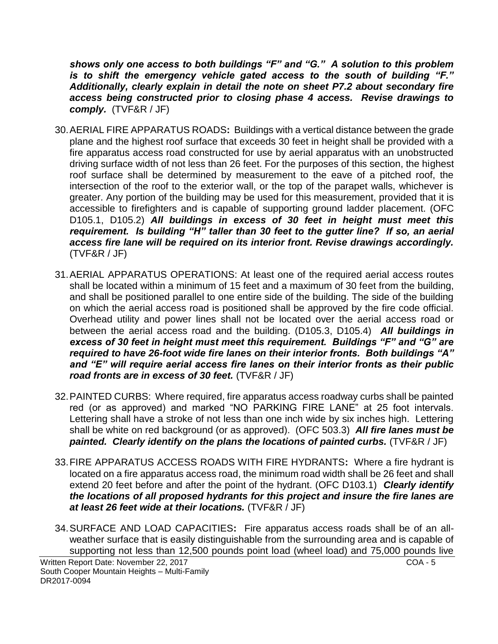*shows only one access to both buildings "F" and "G." A solution to this problem is to shift the emergency vehicle gated access to the south of building "F." Additionally, clearly explain in detail the note on sheet P7.2 about secondary fire access being constructed prior to closing phase 4 access. Revise drawings to comply.* (TVF&R / JF)

- 30.AERIAL FIRE APPARATUS ROADS**:** Buildings with a vertical distance between the grade plane and the highest roof surface that exceeds 30 feet in height shall be provided with a fire apparatus access road constructed for use by aerial apparatus with an unobstructed driving surface width of not less than 26 feet. For the purposes of this section, the highest roof surface shall be determined by measurement to the eave of a pitched roof, the intersection of the roof to the exterior wall, or the top of the parapet walls, whichever is greater. Any portion of the building may be used for this measurement, provided that it is accessible to firefighters and is capable of supporting ground ladder placement. (OFC D105.1, D105.2) *All buildings in excess of 30 feet in height must meet this requirement. Is building "H" taller than 30 feet to the gutter line? If so, an aerial access fire lane will be required on its interior front. Revise drawings accordingly.* (TVF&R / JF)
- 31.AERIAL APPARATUS OPERATIONS: At least one of the required aerial access routes shall be located within a minimum of 15 feet and a maximum of 30 feet from the building, and shall be positioned parallel to one entire side of the building. The side of the building on which the aerial access road is positioned shall be approved by the fire code official. Overhead utility and power lines shall not be located over the aerial access road or between the aerial access road and the building. (D105.3, D105.4) *All buildings in excess of 30 feet in height must meet this requirement. Buildings "F" and "G" are required to have 26-foot wide fire lanes on their interior fronts. Both buildings "A" and "E" will require aerial access fire lanes on their interior fronts as their public road fronts are in excess of 30 feet.* (TVF&R / JF)
- 32.PAINTED CURBS: Where required, fire apparatus access roadway curbs shall be painted red (or as approved) and marked "NO PARKING FIRE LANE" at 25 foot intervals. Lettering shall have a stroke of not less than one inch wide by six inches high. Lettering shall be white on red background (or as approved). (OFC 503.3) *All fire lanes must be painted. Clearly identify on the plans the locations of painted curbs.* (TVF&R / JF)
- 33.FIRE APPARATUS ACCESS ROADS WITH FIRE HYDRANTS**:** Where a fire hydrant is located on a fire apparatus access road, the minimum road width shall be 26 feet and shall extend 20 feet before and after the point of the hydrant. (OFC D103.1) *Clearly identify the locations of all proposed hydrants for this project and insure the fire lanes are at least 26 feet wide at their locations.* (TVF&R / JF)
- 34.SURFACE AND LOAD CAPACITIES**:** Fire apparatus access roads shall be of an allweather surface that is easily distinguishable from the surrounding area and is capable of supporting not less than 12,500 pounds point load (wheel load) and 75,000 pounds live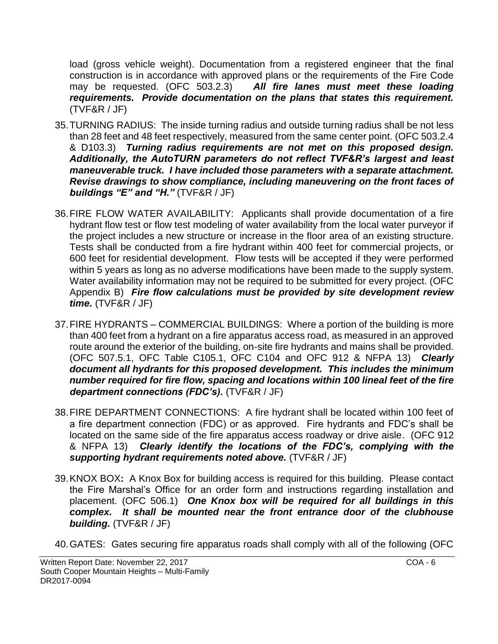load (gross vehicle weight). Documentation from a registered engineer that the final construction is in accordance with approved plans or the requirements of the Fire Code may be requested. (OFC 503.2.3) *All fire lanes must meet these loading requirements. Provide documentation on the plans that states this requirement.* (TVF&R / JF)

- 35.TURNING RADIUS: The inside turning radius and outside turning radius shall be not less than 28 feet and 48 feet respectively, measured from the same center point. (OFC 503.2.4 & D103.3) *Turning radius requirements are not met on this proposed design. Additionally, the AutoTURN parameters do not reflect TVF&R's largest and least maneuverable truck. I have included those parameters with a separate attachment. Revise drawings to show compliance, including maneuvering on the front faces of buildings "E" and "H."* (TVF&R / JF)
- 36.FIRE FLOW WATER AVAILABILITY: Applicants shall provide documentation of a fire hydrant flow test or flow test modeling of water availability from the local water purveyor if the project includes a new structure or increase in the floor area of an existing structure. Tests shall be conducted from a fire hydrant within 400 feet for commercial projects, or 600 feet for residential development. Flow tests will be accepted if they were performed within 5 years as long as no adverse modifications have been made to the supply system. Water availability information may not be required to be submitted for every project. (OFC Appendix B) *Fire flow calculations must be provided by site development review time.* (TVF&R / JF)
- 37.FIRE HYDRANTS COMMERCIAL BUILDINGS: Where a portion of the building is more than 400 feet from a hydrant on a fire apparatus access road, as measured in an approved route around the exterior of the building, on-site fire hydrants and mains shall be provided. (OFC 507.5.1, OFC Table C105.1, OFC C104 and OFC 912 & NFPA 13) *Clearly document all hydrants for this proposed development. This includes the minimum number required for fire flow, spacing and locations within 100 lineal feet of the fire department connections (FDC's).* (TVF&R / JF)
- 38.FIRE DEPARTMENT CONNECTIONS: A fire hydrant shall be located within 100 feet of a fire department connection (FDC) or as approved. Fire hydrants and FDC's shall be located on the same side of the fire apparatus access roadway or drive aisle. (OFC 912 & NFPA 13) *Clearly identify the locations of the FDC's, complying with the supporting hydrant requirements noted above.* (TVF&R / JF)
- 39.KNOX BOX**:** A Knox Box for building access is required for this building. Please contact the Fire Marshal's Office for an order form and instructions regarding installation and placement. (OFC 506.1) *One Knox box will be required for all buildings in this complex. It shall be mounted near the front entrance door of the clubhouse building.* (TVF&R / JF)
- 40.GATES: Gates securing fire apparatus roads shall comply with all of the following (OFC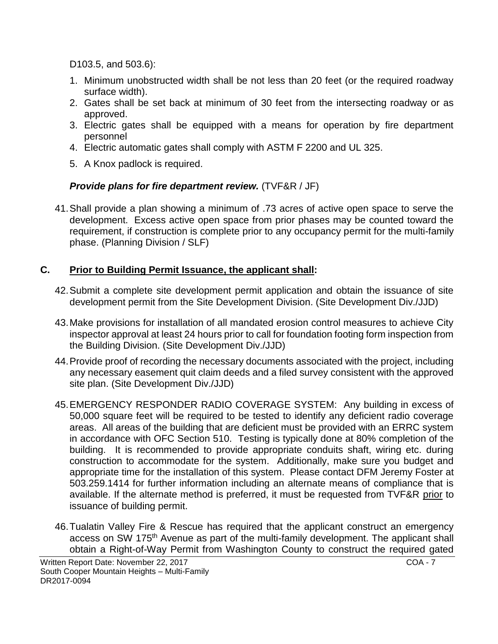D103.5, and 503.6):

- 1. Minimum unobstructed width shall be not less than 20 feet (or the required roadway surface width).
- 2. Gates shall be set back at minimum of 30 feet from the intersecting roadway or as approved.
- 3. Electric gates shall be equipped with a means for operation by fire department personnel
- 4. Electric automatic gates shall comply with ASTM F 2200 and UL 325.
- 5. A Knox padlock is required.

# *Provide plans for fire department review.* (TVF&R / JF)

41.Shall provide a plan showing a minimum of .73 acres of active open space to serve the development. Excess active open space from prior phases may be counted toward the requirement, if construction is complete prior to any occupancy permit for the multi-family phase. (Planning Division / SLF)

# **C. Prior to Building Permit Issuance, the applicant shall:**

- 42.Submit a complete site development permit application and obtain the issuance of site development permit from the Site Development Division. (Site Development Div./JJD)
- 43.Make provisions for installation of all mandated erosion control measures to achieve City inspector approval at least 24 hours prior to call for foundation footing form inspection from the Building Division. (Site Development Div./JJD)
- 44.Provide proof of recording the necessary documents associated with the project, including any necessary easement quit claim deeds and a filed survey consistent with the approved site plan. (Site Development Div./JJD)
- 45.EMERGENCY RESPONDER RADIO COVERAGE SYSTEM: Any building in excess of 50,000 square feet will be required to be tested to identify any deficient radio coverage areas. All areas of the building that are deficient must be provided with an ERRC system in accordance with OFC Section 510. Testing is typically done at 80% completion of the building. It is recommended to provide appropriate conduits shaft, wiring etc. during construction to accommodate for the system. Additionally, make sure you budget and appropriate time for the installation of this system. Please contact DFM Jeremy Foster at 503.259.1414 for further information including an alternate means of compliance that is available. If the alternate method is preferred, it must be requested from TVF&R prior to issuance of building permit.
- 46.Tualatin Valley Fire & Rescue has required that the applicant construct an emergency access on SW 175<sup>th</sup> Avenue as part of the multi-family development. The applicant shall obtain a Right-of-Way Permit from Washington County to construct the required gated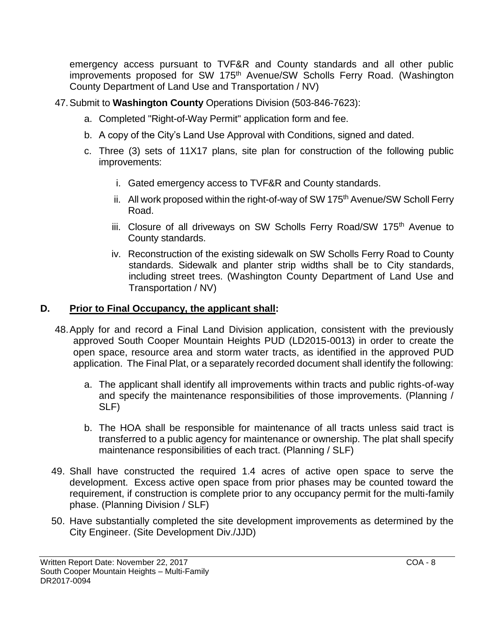emergency access pursuant to TVF&R and County standards and all other public improvements proposed for SW 175<sup>th</sup> Avenue/SW Scholls Ferry Road. (Washington County Department of Land Use and Transportation / NV)

- 47.Submit to **Washington County** Operations Division (503-846-7623):
	- a. Completed "Right-of-Way Permit" application form and fee.
	- b. A copy of the City's Land Use Approval with Conditions, signed and dated.
	- c. Three (3) sets of 11X17 plans, site plan for construction of the following public improvements:
		- i. Gated emergency access to TVF&R and County standards.
		- ii. All work proposed within the right-of-way of SW 175<sup>th</sup> Avenue/SW Scholl Ferry Road.
		- iii. Closure of all driveways on SW Scholls Ferry Road/SW 175<sup>th</sup> Avenue to County standards.
		- iv. Reconstruction of the existing sidewalk on SW Scholls Ferry Road to County standards. Sidewalk and planter strip widths shall be to City standards, including street trees. (Washington County Department of Land Use and Transportation / NV)

# **D. Prior to Final Occupancy, the applicant shall:**

- 48.Apply for and record a Final Land Division application, consistent with the previously approved South Cooper Mountain Heights PUD (LD2015-0013) in order to create the open space, resource area and storm water tracts, as identified in the approved PUD application. The Final Plat, or a separately recorded document shall identify the following:
	- a. The applicant shall identify all improvements within tracts and public rights-of-way and specify the maintenance responsibilities of those improvements. (Planning / SLF)
	- b. The HOA shall be responsible for maintenance of all tracts unless said tract is transferred to a public agency for maintenance or ownership. The plat shall specify maintenance responsibilities of each tract. (Planning / SLF)
- 49. Shall have constructed the required 1.4 acres of active open space to serve the development. Excess active open space from prior phases may be counted toward the requirement, if construction is complete prior to any occupancy permit for the multi-family phase. (Planning Division / SLF)
- 50. Have substantially completed the site development improvements as determined by the City Engineer. (Site Development Div./JJD)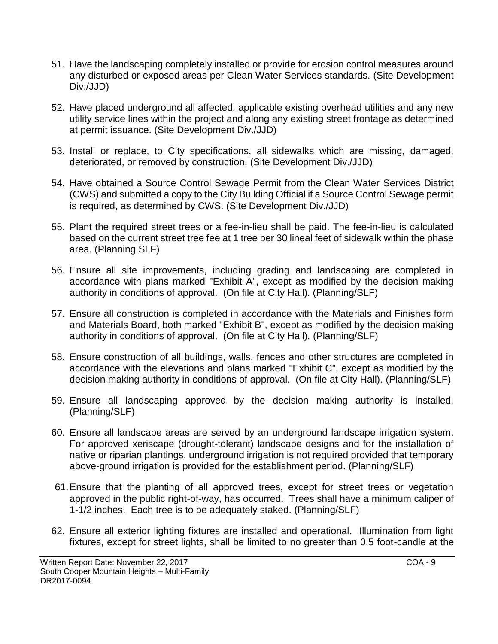- 51. Have the landscaping completely installed or provide for erosion control measures around any disturbed or exposed areas per Clean Water Services standards. (Site Development Div./JJD)
- 52. Have placed underground all affected, applicable existing overhead utilities and any new utility service lines within the project and along any existing street frontage as determined at permit issuance. (Site Development Div./JJD)
- 53. Install or replace, to City specifications, all sidewalks which are missing, damaged, deteriorated, or removed by construction. (Site Development Div./JJD)
- 54. Have obtained a Source Control Sewage Permit from the Clean Water Services District (CWS) and submitted a copy to the City Building Official if a Source Control Sewage permit is required, as determined by CWS. (Site Development Div./JJD)
- 55. Plant the required street trees or a fee-in-lieu shall be paid. The fee-in-lieu is calculated based on the current street tree fee at 1 tree per 30 lineal feet of sidewalk within the phase area. (Planning SLF)
- 56. Ensure all site improvements, including grading and landscaping are completed in accordance with plans marked "Exhibit A", except as modified by the decision making authority in conditions of approval. (On file at City Hall). (Planning/SLF)
- 57. Ensure all construction is completed in accordance with the Materials and Finishes form and Materials Board, both marked "Exhibit B", except as modified by the decision making authority in conditions of approval. (On file at City Hall). (Planning/SLF)
- 58. Ensure construction of all buildings, walls, fences and other structures are completed in accordance with the elevations and plans marked "Exhibit C", except as modified by the decision making authority in conditions of approval. (On file at City Hall). (Planning/SLF)
- 59. Ensure all landscaping approved by the decision making authority is installed. (Planning/SLF)
- 60. Ensure all landscape areas are served by an underground landscape irrigation system. For approved xeriscape (drought-tolerant) landscape designs and for the installation of native or riparian plantings, underground irrigation is not required provided that temporary above-ground irrigation is provided for the establishment period. (Planning/SLF)
- 61.Ensure that the planting of all approved trees, except for street trees or vegetation approved in the public right-of-way, has occurred. Trees shall have a minimum caliper of 1-1/2 inches. Each tree is to be adequately staked. (Planning/SLF)
- 62. Ensure all exterior lighting fixtures are installed and operational. Illumination from light fixtures, except for street lights, shall be limited to no greater than 0.5 foot-candle at the